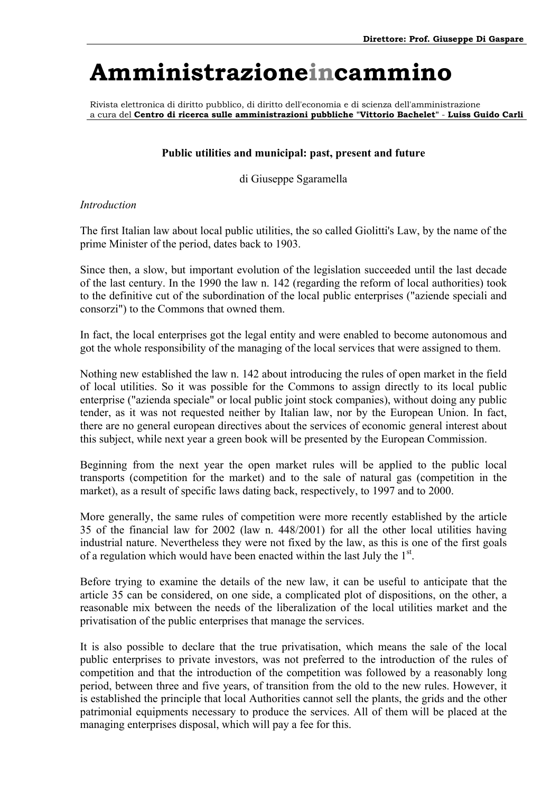Rivista elettronica di diritto pubblico, di diritto dell'economia e di scienza dell'amministrazione a cura del **Centro di ricerca sulle amministrazioni pubbliche "Vittorio Bachelet"** - **Luiss Guido Carli**

### **Public utilities and municipal: past, present and future**

di Giuseppe Sgaramella

#### *Introduction*

The first Italian law about local public utilities, the so called Giolitti's Law, by the name of the prime Minister of the period, dates back to 1903.

Since then, a slow, but important evolution of the legislation succeeded until the last decade of the last century. In the 1990 the law n. 142 (regarding the reform of local authorities) took to the definitive cut of the subordination of the local public enterprises ("aziende speciali and consorzi") to the Commons that owned them.

In fact, the local enterprises got the legal entity and were enabled to become autonomous and got the whole responsibility of the managing of the local services that were assigned to them.

Nothing new established the law n. 142 about introducing the rules of open market in the field of local utilities. So it was possible for the Commons to assign directly to its local public enterprise ("azienda speciale" or local public joint stock companies), without doing any public tender, as it was not requested neither by Italian law, nor by the European Union. In fact, there are no general european directives about the services of economic general interest about this subject, while next year a green book will be presented by the European Commission.

Beginning from the next year the open market rules will be applied to the public local transports (competition for the market) and to the sale of natural gas (competition in the market), as a result of specific laws dating back, respectively, to 1997 and to 2000.

More generally, the same rules of competition were more recently established by the article 35 of the financial law for 2002 (law n. 448/2001) for all the other local utilities having industrial nature. Nevertheless they were not fixed by the law, as this is one of the first goals of a regulation which would have been enacted within the last July the  $1<sup>st</sup>$ .

Before trying to examine the details of the new law, it can be useful to anticipate that the article 35 can be considered, on one side, a complicated plot of dispositions, on the other, a reasonable mix between the needs of the liberalization of the local utilities market and the privatisation of the public enterprises that manage the services.

It is also possible to declare that the true privatisation, which means the sale of the local public enterprises to private investors, was not preferred to the introduction of the rules of competition and that the introduction of the competition was followed by a reasonably long period, between three and five years, of transition from the old to the new rules. However, it is established the principle that local Authorities cannot sell the plants, the grids and the other patrimonial equipments necessary to produce the services. All of them will be placed at the managing enterprises disposal, which will pay a fee for this.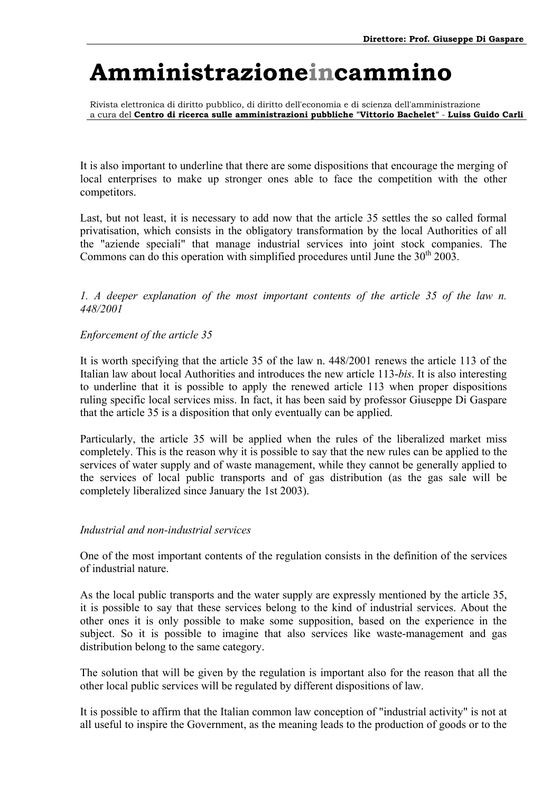Rivista elettronica di diritto pubblico, di diritto dell'economia e di scienza dell'amministrazione a cura del **Centro di ricerca sulle amministrazioni pubbliche "Vittorio Bachelet"** - **Luiss Guido Carli**

It is also important to underline that there are some dispositions that encourage the merging of local enterprises to make up stronger ones able to face the competition with the other competitors.

Last, but not least, it is necessary to add now that the article 35 settles the so called formal privatisation, which consists in the obligatory transformation by the local Authorities of all the "aziende speciali" that manage industrial services into joint stock companies. The Commons can do this operation with simplified procedures until June the  $30<sup>th</sup> 2003$ .

*1. A deeper explanation of the most important contents of the article 35 of the law n. 448/2001* 

### *Enforcement of the article 35*

It is worth specifying that the article 35 of the law n. 448/2001 renews the article 113 of the Italian law about local Authorities and introduces the new article 113-*bis*. It is also interesting to underline that it is possible to apply the renewed article 113 when proper dispositions ruling specific local services miss. In fact, it has been said by professor Giuseppe Di Gaspare that the article 35 is a disposition that only eventually can be applied.

Particularly, the article 35 will be applied when the rules of the liberalized market miss completely. This is the reason why it is possible to say that the new rules can be applied to the services of water supply and of waste management, while they cannot be generally applied to the services of local public transports and of gas distribution (as the gas sale will be completely liberalized since January the 1st 2003).

### *Industrial and non-industrial services*

One of the most important contents of the regulation consists in the definition of the services of industrial nature.

As the local public transports and the water supply are expressly mentioned by the article 35, it is possible to say that these services belong to the kind of industrial services. About the other ones it is only possible to make some supposition, based on the experience in the subject. So it is possible to imagine that also services like waste-management and gas distribution belong to the same category.

The solution that will be given by the regulation is important also for the reason that all the other local public services will be regulated by different dispositions of law.

It is possible to affirm that the Italian common law conception of "industrial activity" is not at all useful to inspire the Government, as the meaning leads to the production of goods or to the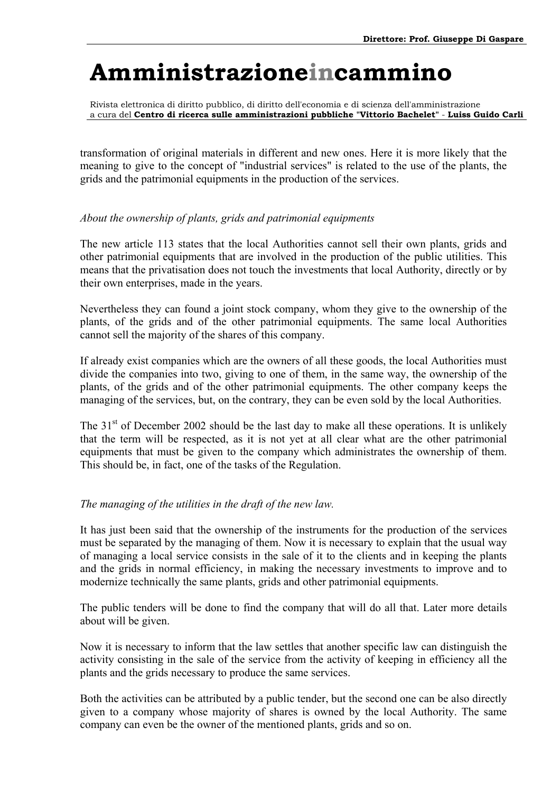Rivista elettronica di diritto pubblico, di diritto dell'economia e di scienza dell'amministrazione a cura del **Centro di ricerca sulle amministrazioni pubbliche "Vittorio Bachelet"** - **Luiss Guido Carli**

transformation of original materials in different and new ones. Here it is more likely that the meaning to give to the concept of "industrial services" is related to the use of the plants, the grids and the patrimonial equipments in the production of the services.

### *About the ownership of plants, grids and patrimonial equipments*

The new article 113 states that the local Authorities cannot sell their own plants, grids and other patrimonial equipments that are involved in the production of the public utilities. This means that the privatisation does not touch the investments that local Authority, directly or by their own enterprises, made in the years.

Nevertheless they can found a joint stock company, whom they give to the ownership of the plants, of the grids and of the other patrimonial equipments. The same local Authorities cannot sell the majority of the shares of this company.

If already exist companies which are the owners of all these goods, the local Authorities must divide the companies into two, giving to one of them, in the same way, the ownership of the plants, of the grids and of the other patrimonial equipments. The other company keeps the managing of the services, but, on the contrary, they can be even sold by the local Authorities.

The  $31<sup>st</sup>$  of December 2002 should be the last day to make all these operations. It is unlikely that the term will be respected, as it is not yet at all clear what are the other patrimonial equipments that must be given to the company which administrates the ownership of them. This should be, in fact, one of the tasks of the Regulation.

### *The managing of the utilities in the draft of the new law.*

It has just been said that the ownership of the instruments for the production of the services must be separated by the managing of them. Now it is necessary to explain that the usual way of managing a local service consists in the sale of it to the clients and in keeping the plants and the grids in normal efficiency, in making the necessary investments to improve and to modernize technically the same plants, grids and other patrimonial equipments.

The public tenders will be done to find the company that will do all that. Later more details about will be given.

Now it is necessary to inform that the law settles that another specific law can distinguish the activity consisting in the sale of the service from the activity of keeping in efficiency all the plants and the grids necessary to produce the same services.

Both the activities can be attributed by a public tender, but the second one can be also directly given to a company whose majority of shares is owned by the local Authority. The same company can even be the owner of the mentioned plants, grids and so on.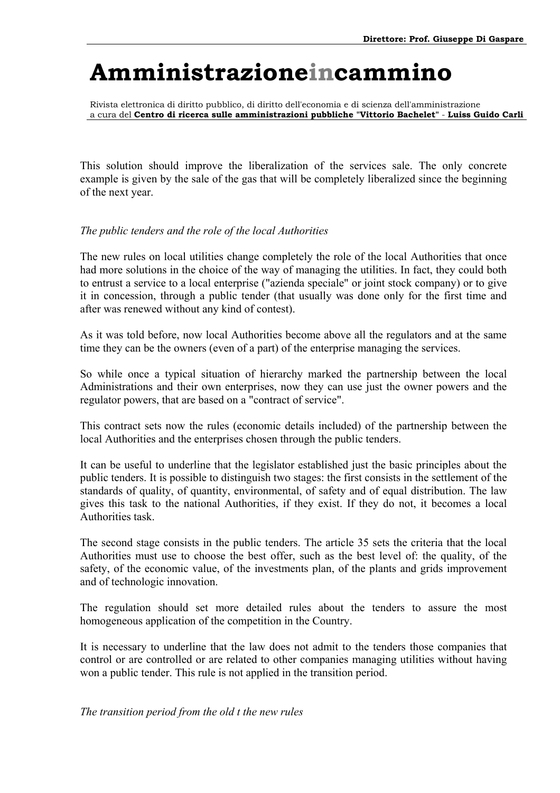Rivista elettronica di diritto pubblico, di diritto dell'economia e di scienza dell'amministrazione a cura del **Centro di ricerca sulle amministrazioni pubbliche "Vittorio Bachelet"** - **Luiss Guido Carli**

This solution should improve the liberalization of the services sale. The only concrete example is given by the sale of the gas that will be completely liberalized since the beginning of the next year.

### *The public tenders and the role of the local Authorities*

The new rules on local utilities change completely the role of the local Authorities that once had more solutions in the choice of the way of managing the utilities. In fact, they could both to entrust a service to a local enterprise ("azienda speciale" or joint stock company) or to give it in concession, through a public tender (that usually was done only for the first time and after was renewed without any kind of contest).

As it was told before, now local Authorities become above all the regulators and at the same time they can be the owners (even of a part) of the enterprise managing the services.

So while once a typical situation of hierarchy marked the partnership between the local Administrations and their own enterprises, now they can use just the owner powers and the regulator powers, that are based on a "contract of service".

This contract sets now the rules (economic details included) of the partnership between the local Authorities and the enterprises chosen through the public tenders.

It can be useful to underline that the legislator established just the basic principles about the public tenders. It is possible to distinguish two stages: the first consists in the settlement of the standards of quality, of quantity, environmental, of safety and of equal distribution. The law gives this task to the national Authorities, if they exist. If they do not, it becomes a local Authorities task.

The second stage consists in the public tenders. The article 35 sets the criteria that the local Authorities must use to choose the best offer, such as the best level of: the quality, of the safety, of the economic value, of the investments plan, of the plants and grids improvement and of technologic innovation.

The regulation should set more detailed rules about the tenders to assure the most homogeneous application of the competition in the Country.

It is necessary to underline that the law does not admit to the tenders those companies that control or are controlled or are related to other companies managing utilities without having won a public tender. This rule is not applied in the transition period.

*The transition period from the old t the new rules*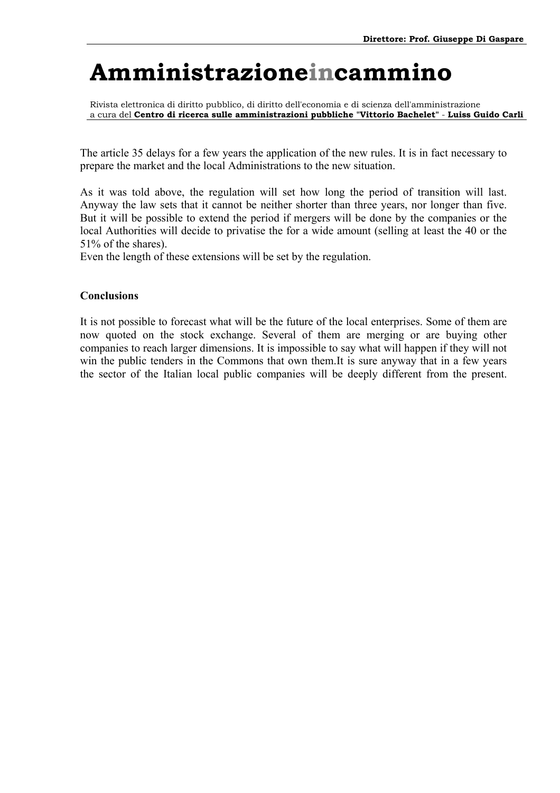Rivista elettronica di diritto pubblico, di diritto dell'economia e di scienza dell'amministrazione a cura del **Centro di ricerca sulle amministrazioni pubbliche "Vittorio Bachelet"** - **Luiss Guido Carli**

The article 35 delays for a few years the application of the new rules. It is in fact necessary to prepare the market and the local Administrations to the new situation.

As it was told above, the regulation will set how long the period of transition will last. Anyway the law sets that it cannot be neither shorter than three years, nor longer than five. But it will be possible to extend the period if mergers will be done by the companies or the local Authorities will decide to privatise the for a wide amount (selling at least the 40 or the 51% of the shares).

Even the length of these extensions will be set by the regulation.

### **Conclusions**

It is not possible to forecast what will be the future of the local enterprises. Some of them are now quoted on the stock exchange. Several of them are merging or are buying other companies to reach larger dimensions. It is impossible to say what will happen if they will not win the public tenders in the Commons that own them.It is sure anyway that in a few years the sector of the Italian local public companies will be deeply different from the present.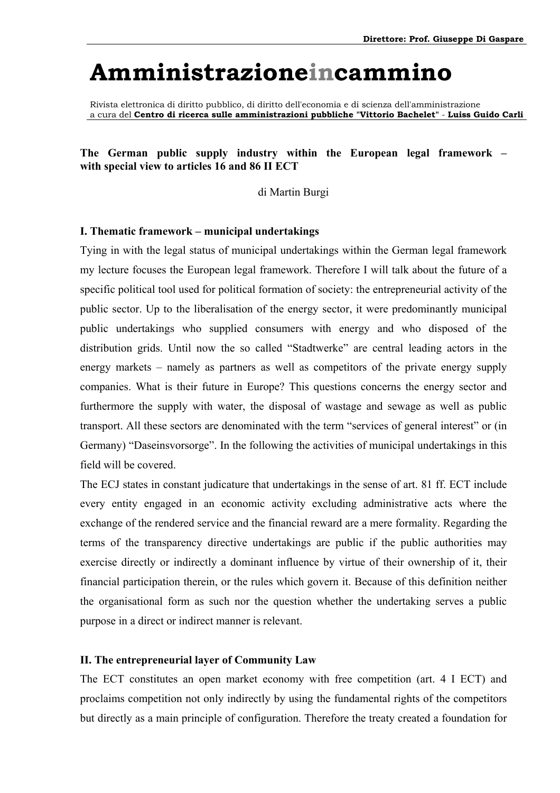Rivista elettronica di diritto pubblico, di diritto dell'economia e di scienza dell'amministrazione a cura del **Centro di ricerca sulle amministrazioni pubbliche "Vittorio Bachelet"** - **Luiss Guido Carli**

#### The German public supply industry within the European legal framework – **with special view to articles 16 and 86 II ECT**

di Martin Burgi

#### **I. Thematic framework – municipal undertakings**

Tying in with the legal status of municipal undertakings within the German legal framework my lecture focuses the European legal framework. Therefore I will talk about the future of a specific political tool used for political formation of society: the entrepreneurial activity of the public sector. Up to the liberalisation of the energy sector, it were predominantly municipal public undertakings who supplied consumers with energy and who disposed of the distribution grids. Until now the so called "Stadtwerke" are central leading actors in the energy markets  $-$  namely as partners as well as competitors of the private energy supply companies. What is their future in Europe? This questions concerns the energy sector and furthermore the supply with water, the disposal of wastage and sewage as well as public transport. All these sectors are denominated with the term "services of general interest" or (in Germany) "Daseinsvorsorge". In the following the activities of municipal undertakings in this field will be covered.

The ECJ states in constant judicature that undertakings in the sense of art. 81 ff. ECT include every entity engaged in an economic activity excluding administrative acts where the exchange of the rendered service and the financial reward are a mere formality. Regarding the terms of the transparency directive undertakings are public if the public authorities may exercise directly or indirectly a dominant influence by virtue of their ownership of it, their financial participation therein, or the rules which govern it. Because of this definition neither the organisational form as such nor the question whether the undertaking serves a public purpose in a direct or indirect manner is relevant.

#### **II. The entrepreneurial layer of Community Law**

The ECT constitutes an open market economy with free competition (art. 4 I ECT) and proclaims competition not only indirectly by using the fundamental rights of the competitors but directly as a main principle of configuration. Therefore the treaty created a foundation for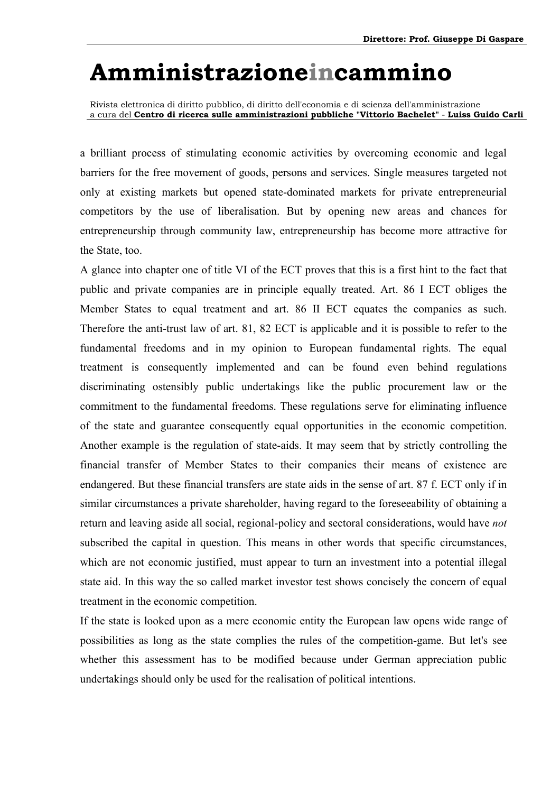Rivista elettronica di diritto pubblico, di diritto dell'economia e di scienza dell'amministrazione a cura del **Centro di ricerca sulle amministrazioni pubbliche "Vittorio Bachelet"** - **Luiss Guido Carli**

a brilliant process of stimulating economic activities by overcoming economic and legal barriers for the free movement of goods, persons and services. Single measures targeted not only at existing markets but opened state-dominated markets for private entrepreneurial competitors by the use of liberalisation. But by opening new areas and chances for entrepreneurship through community law, entrepreneurship has become more attractive for the State, too.

A glance into chapter one of title VI of the ECT proves that this is a first hint to the fact that public and private companies are in principle equally treated. Art. 86 I ECT obliges the Member States to equal treatment and art. 86 II ECT equates the companies as such. Therefore the anti-trust law of art. 81, 82 ECT is applicable and it is possible to refer to the fundamental freedoms and in my opinion to European fundamental rights. The equal treatment is consequently implemented and can be found even behind regulations discriminating ostensibly public undertakings like the public procurement law or the commitment to the fundamental freedoms. These regulations serve for eliminating influence of the state and guarantee consequently equal opportunities in the economic competition. Another example is the regulation of state-aids. It may seem that by strictly controlling the financial transfer of Member States to their companies their means of existence are endangered. But these financial transfers are state aids in the sense of art. 87 f. ECT only if in similar circumstances a private shareholder, having regard to the foreseeability of obtaining a return and leaving aside all social, regional-policy and sectoral considerations, would have *not* subscribed the capital in question. This means in other words that specific circumstances, which are not economic justified, must appear to turn an investment into a potential illegal state aid. In this way the so called market investor test shows concisely the concern of equal treatment in the economic competition.

If the state is looked upon as a mere economic entity the European law opens wide range of possibilities as long as the state complies the rules of the competition-game. But let's see whether this assessment has to be modified because under German appreciation public undertakings should only be used for the realisation of political intentions.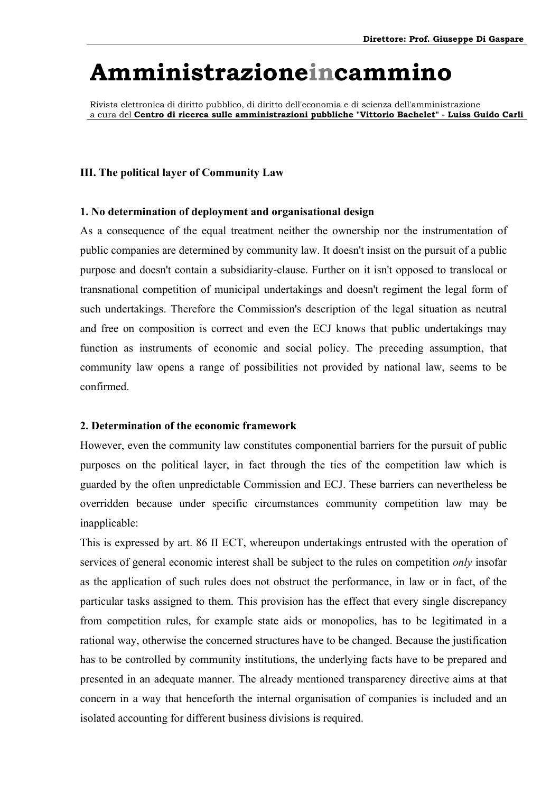Rivista elettronica di diritto pubblico, di diritto dell'economia e di scienza dell'amministrazione a cura del **Centro di ricerca sulle amministrazioni pubbliche "Vittorio Bachelet"** - **Luiss Guido Carli**

#### **III. The political layer of Community Law**

#### **1. No determination of deployment and organisational design**

As a consequence of the equal treatment neither the ownership nor the instrumentation of public companies are determined by community law. It doesn't insist on the pursuit of a public purpose and doesn't contain a subsidiarity-clause. Further on it isn't opposed to translocal or transnational competition of municipal undertakings and doesn't regiment the legal form of such undertakings. Therefore the Commission's description of the legal situation as neutral and free on composition is correct and even the ECJ knows that public undertakings may function as instruments of economic and social policy. The preceding assumption, that community law opens a range of possibilities not provided by national law, seems to be confirmed.

#### **2. Determination of the economic framework**

However, even the community law constitutes componential barriers for the pursuit of public purposes on the political layer, in fact through the ties of the competition law which is guarded by the often unpredictable Commission and ECJ. These barriers can nevertheless be overridden because under specific circumstances community competition law may be inapplicable:

This is expressed by art. 86 II ECT, whereupon undertakings entrusted with the operation of services of general economic interest shall be subject to the rules on competition *only* insofar as the application of such rules does not obstruct the performance, in law or in fact, of the particular tasks assigned to them. This provision has the effect that every single discrepancy from competition rules, for example state aids or monopolies, has to be legitimated in a rational way, otherwise the concerned structures have to be changed. Because the justification has to be controlled by community institutions, the underlying facts have to be prepared and presented in an adequate manner. The already mentioned transparency directive aims at that concern in a way that henceforth the internal organisation of companies is included and an isolated accounting for different business divisions is required.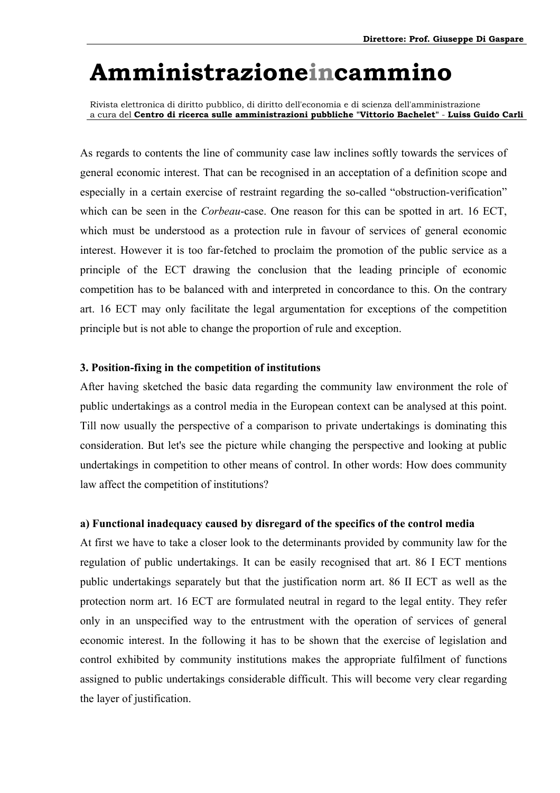Rivista elettronica di diritto pubblico, di diritto dell'economia e di scienza dell'amministrazione a cura del **Centro di ricerca sulle amministrazioni pubbliche "Vittorio Bachelet"** - **Luiss Guido Carli**

As regards to contents the line of community case law inclines softly towards the services of general economic interest. That can be recognised in an acceptation of a definition scope and especially in a certain exercise of restraint regarding the so-called "obstruction-verification" which can be seen in the *Corbeau*-case. One reason for this can be spotted in art. 16 ECT, which must be understood as a protection rule in favour of services of general economic interest. However it is too far-fetched to proclaim the promotion of the public service as a principle of the ECT drawing the conclusion that the leading principle of economic competition has to be balanced with and interpreted in concordance to this. On the contrary art. 16 ECT may only facilitate the legal argumentation for exceptions of the competition principle but is not able to change the proportion of rule and exception.

#### **3. Position-fixing in the competition of institutions**

After having sketched the basic data regarding the community law environment the role of public undertakings as a control media in the European context can be analysed at this point. Till now usually the perspective of a comparison to private undertakings is dominating this consideration. But let's see the picture while changing the perspective and looking at public undertakings in competition to other means of control. In other words: How does community law affect the competition of institutions?

#### **a) Functional inadequacy caused by disregard of the specifics of the control media**

At first we have to take a closer look to the determinants provided by community law for the regulation of public undertakings. It can be easily recognised that art. 86 I ECT mentions public undertakings separately but that the justification norm art. 86 II ECT as well as the protection norm art. 16 ECT are formulated neutral in regard to the legal entity. They refer only in an unspecified way to the entrustment with the operation of services of general economic interest. In the following it has to be shown that the exercise of legislation and control exhibited by community institutions makes the appropriate fulfilment of functions assigned to public undertakings considerable difficult. This will become very clear regarding the layer of justification.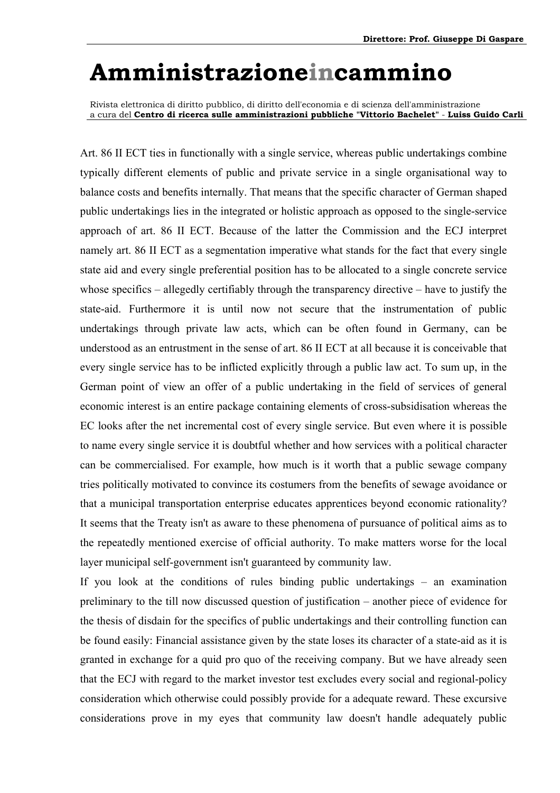Rivista elettronica di diritto pubblico, di diritto dell'economia e di scienza dell'amministrazione a cura del **Centro di ricerca sulle amministrazioni pubbliche "Vittorio Bachelet"** - **Luiss Guido Carli**

Art. 86 II ECT ties in functionally with a single service, whereas public undertakings combine typically different elements of public and private service in a single organisational way to balance costs and benefits internally. That means that the specific character of German shaped public undertakings lies in the integrated or holistic approach as opposed to the single-service approach of art. 86 II ECT. Because of the latter the Commission and the ECJ interpret namely art. 86 II ECT as a segmentation imperative what stands for the fact that every single state aid and every single preferential position has to be allocated to a single concrete service whose specifics  $-$  allegedly certifiably through the transparency directive  $-$  have to justify the state-aid. Furthermore it is until now not secure that the instrumentation of public undertakings through private law acts, which can be often found in Germany, can be understood as an entrustment in the sense of art. 86 II ECT at all because it is conceivable that every single service has to be inflicted explicitly through a public law act. To sum up, in the German point of view an offer of a public undertaking in the field of services of general economic interest is an entire package containing elements of cross-subsidisation whereas the EC looks after the net incremental cost of every single service. But even where it is possible to name every single service it is doubtful whether and how services with a political character can be commercialised. For example, how much is it worth that a public sewage company tries politically motivated to convince its costumers from the benefits of sewage avoidance or that a municipal transportation enterprise educates apprentices beyond economic rationality? It seems that the Treaty isn't as aware to these phenomena of pursuance of political aims as to the repeatedly mentioned exercise of official authority. To make matters worse for the local layer municipal self-government isn't guaranteed by community law.

If you look at the conditions of rules binding public undertakings  $-$  an examination preliminary to the till now discussed question of justification – another piece of evidence for the thesis of disdain for the specifics of public undertakings and their controlling function can be found easily: Financial assistance given by the state loses its character of a state-aid as it is granted in exchange for a quid pro quo of the receiving company. But we have already seen that the ECJ with regard to the market investor test excludes every social and regional-policy consideration which otherwise could possibly provide for a adequate reward. These excursive considerations prove in my eyes that community law doesn't handle adequately public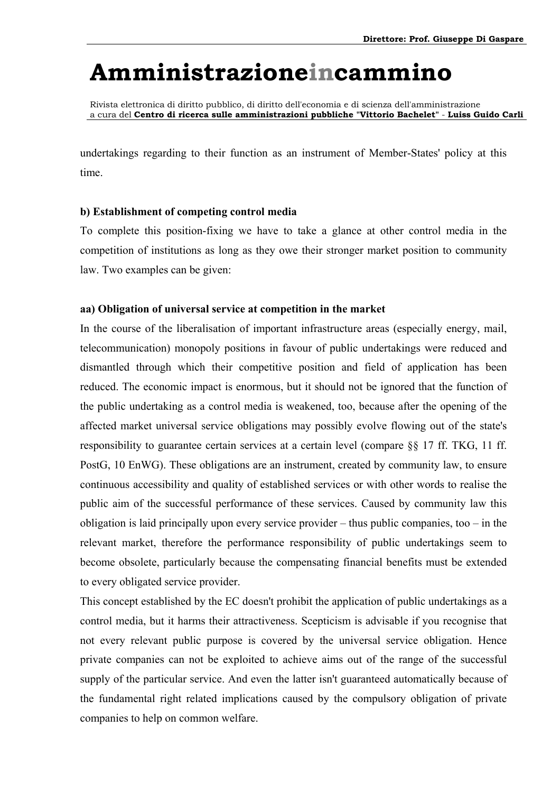Rivista elettronica di diritto pubblico, di diritto dell'economia e di scienza dell'amministrazione a cura del **Centro di ricerca sulle amministrazioni pubbliche "Vittorio Bachelet"** - **Luiss Guido Carli**

undertakings regarding to their function as an instrument of Member-States' policy at this time.

#### **b) Establishment of competing control media**

To complete this position-fixing we have to take a glance at other control media in the competition of institutions as long as they owe their stronger market position to community law. Two examples can be given:

#### **aa) Obligation of universal service at competition in the market**

In the course of the liberalisation of important infrastructure areas (especially energy, mail, telecommunication) monopoly positions in favour of public undertakings were reduced and dismantled through which their competitive position and field of application has been reduced. The economic impact is enormous, but it should not be ignored that the function of the public undertaking as a control media is weakened, too, because after the opening of the affected market universal service obligations may possibly evolve flowing out of the state's responsibility to guarantee certain services at a certain level (compare §§ 17 ff. TKG, 11 ff. PostG, 10 EnWG). These obligations are an instrument, created by community law, to ensure continuous accessibility and quality of established services or with other words to realise the public aim of the successful performance of these services. Caused by community law this obligation is laid principally upon every service provider – thus public companies, too – in the relevant market, therefore the performance responsibility of public undertakings seem to become obsolete, particularly because the compensating financial benefits must be extended to every obligated service provider.

This concept established by the EC doesn't prohibit the application of public undertakings as a control media, but it harms their attractiveness. Scepticism is advisable if you recognise that not every relevant public purpose is covered by the universal service obligation. Hence private companies can not be exploited to achieve aims out of the range of the successful supply of the particular service. And even the latter isn't guaranteed automatically because of the fundamental right related implications caused by the compulsory obligation of private companies to help on common welfare.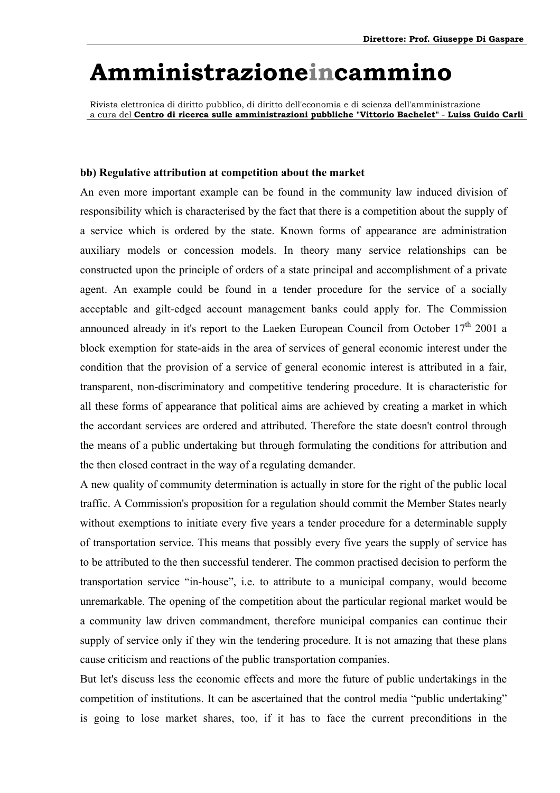Rivista elettronica di diritto pubblico, di diritto dell'economia e di scienza dell'amministrazione a cura del **Centro di ricerca sulle amministrazioni pubbliche "Vittorio Bachelet"** - **Luiss Guido Carli**

#### **bb) Regulative attribution at competition about the market**

An even more important example can be found in the community law induced division of responsibility which is characterised by the fact that there is a competition about the supply of a service which is ordered by the state. Known forms of appearance are administration auxiliary models or concession models. In theory many service relationships can be constructed upon the principle of orders of a state principal and accomplishment of a private agent. An example could be found in a tender procedure for the service of a socially acceptable and gilt-edged account management banks could apply for. The Commission announced already in it's report to the Laeken European Council from October  $17<sup>th</sup>$  2001 a block exemption for state-aids in the area of services of general economic interest under the condition that the provision of a service of general economic interest is attributed in a fair, transparent, non-discriminatory and competitive tendering procedure. It is characteristic for all these forms of appearance that political aims are achieved by creating a market in which the accordant services are ordered and attributed. Therefore the state doesn't control through the means of a public undertaking but through formulating the conditions for attribution and the then closed contract in the way of a regulating demander.

A new quality of community determination is actually in store for the right of the public local traffic. A Commission's proposition for a regulation should commit the Member States nearly without exemptions to initiate every five years a tender procedure for a determinable supply of transportation service. This means that possibly every five years the supply of service has to be attributed to the then successful tenderer. The common practised decision to perform the transportation service "in-house", i.e. to attribute to a municipal company, would become unremarkable. The opening of the competition about the particular regional market would be a community law driven commandment, therefore municipal companies can continue their supply of service only if they win the tendering procedure. It is not amazing that these plans cause criticism and reactions of the public transportation companies.

But let's discuss less the economic effects and more the future of public undertakings in the competition of institutions. It can be ascertained that the control media "public undertaking" is going to lose market shares, too, if it has to face the current preconditions in the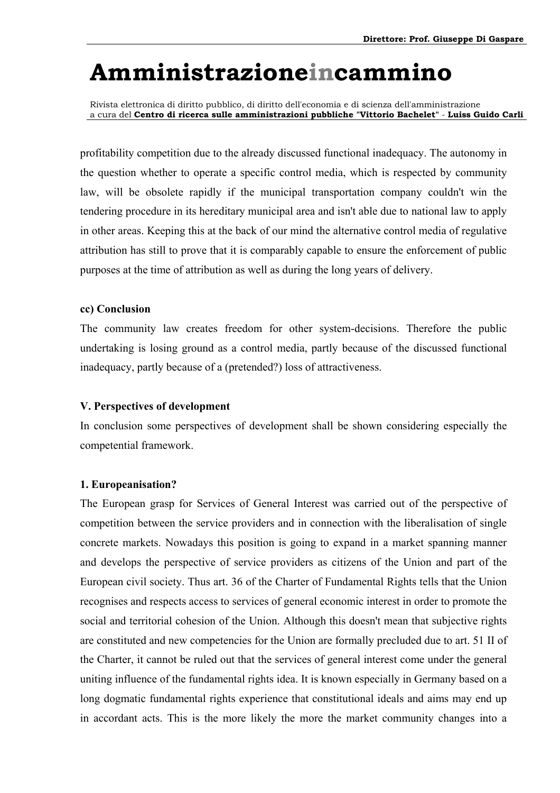Rivista elettronica di diritto pubblico, di diritto dell'economia e di scienza dell'amministrazione a cura del **Centro di ricerca sulle amministrazioni pubbliche "Vittorio Bachelet"** - **Luiss Guido Carli**

profitability competition due to the already discussed functional inadequacy. The autonomy in the question whether to operate a specific control media, which is respected by community law, will be obsolete rapidly if the municipal transportation company couldn't win the tendering procedure in its hereditary municipal area and isn't able due to national law to apply in other areas. Keeping this at the back of our mind the alternative control media of regulative attribution has still to prove that it is comparably capable to ensure the enforcement of public purposes at the time of attribution as well as during the long years of delivery.

#### **cc) Conclusion**

The community law creates freedom for other system-decisions. Therefore the public undertaking is losing ground as a control media, partly because of the discussed functional inadequacy, partly because of a (pretended?) loss of attractiveness.

#### **V. Perspectives of development**

In conclusion some perspectives of development shall be shown considering especially the competential framework.

#### **1. Europeanisation?**

The European grasp for Services of General Interest was carried out of the perspective of competition between the service providers and in connection with the liberalisation of single concrete markets. Nowadays this position is going to expand in a market spanning manner and develops the perspective of service providers as citizens of the Union and part of the European civil society. Thus art. 36 of the Charter of Fundamental Rights tells that the Union recognises and respects access to services of general economic interest in order to promote the social and territorial cohesion of the Union. Although this doesn't mean that subjective rights are constituted and new competencies for the Union are formally precluded due to art. 51 II of the Charter, it cannot be ruled out that the services of general interest come under the general uniting influence of the fundamental rights idea. It is known especially in Germany based on a long dogmatic fundamental rights experience that constitutional ideals and aims may end up in accordant acts. This is the more likely the more the market community changes into a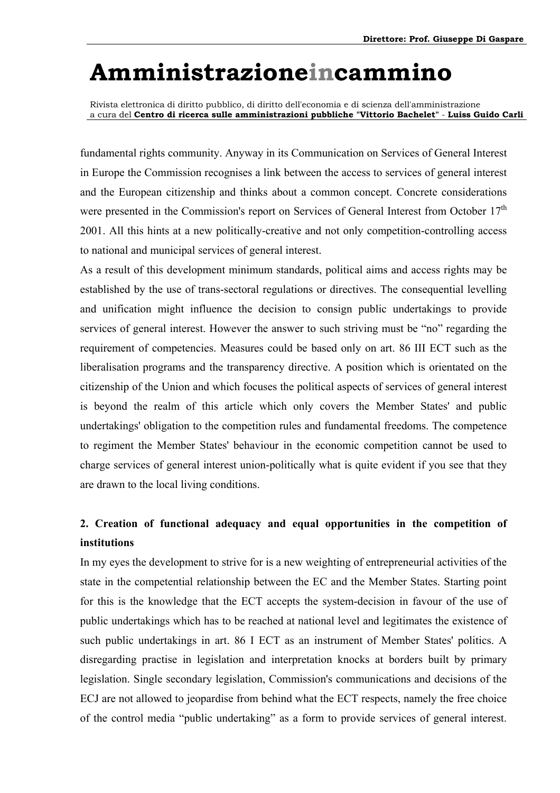Rivista elettronica di diritto pubblico, di diritto dell'economia e di scienza dell'amministrazione a cura del **Centro di ricerca sulle amministrazioni pubbliche "Vittorio Bachelet"** - **Luiss Guido Carli**

fundamental rights community. Anyway in its Communication on Services of General Interest in Europe the Commission recognises a link between the access to services of general interest and the European citizenship and thinks about a common concept. Concrete considerations were presented in the Commission's report on Services of General Interest from October 17<sup>th</sup> 2001. All this hints at a new politically-creative and not only competition-controlling access to national and municipal services of general interest.

As a result of this development minimum standards, political aims and access rights may be established by the use of trans-sectoral regulations or directives. The consequential levelling and unification might influence the decision to consign public undertakings to provide services of general interest. However the answer to such striving must be "no" regarding the requirement of competencies. Measures could be based only on art. 86 III ECT such as the liberalisation programs and the transparency directive. A position which is orientated on the citizenship of the Union and which focuses the political aspects of services of general interest is beyond the realm of this article which only covers the Member States' and public undertakings' obligation to the competition rules and fundamental freedoms. The competence to regiment the Member States' behaviour in the economic competition cannot be used to charge services of general interest union-politically what is quite evident if you see that they are drawn to the local living conditions.

### **2. Creation of functional adequacy and equal opportunities in the competition of institutions**

In my eyes the development to strive for is a new weighting of entrepreneurial activities of the state in the competential relationship between the EC and the Member States. Starting point for this is the knowledge that the ECT accepts the system-decision in favour of the use of public undertakings which has to be reached at national level and legitimates the existence of such public undertakings in art. 86 I ECT as an instrument of Member States' politics. A disregarding practise in legislation and interpretation knocks at borders built by primary legislation. Single secondary legislation, Commission's communications and decisions of the ECJ are not allowed to jeopardise from behind what the ECT respects, namely the free choice of the control media "public undertaking" as a form to provide services of general interest.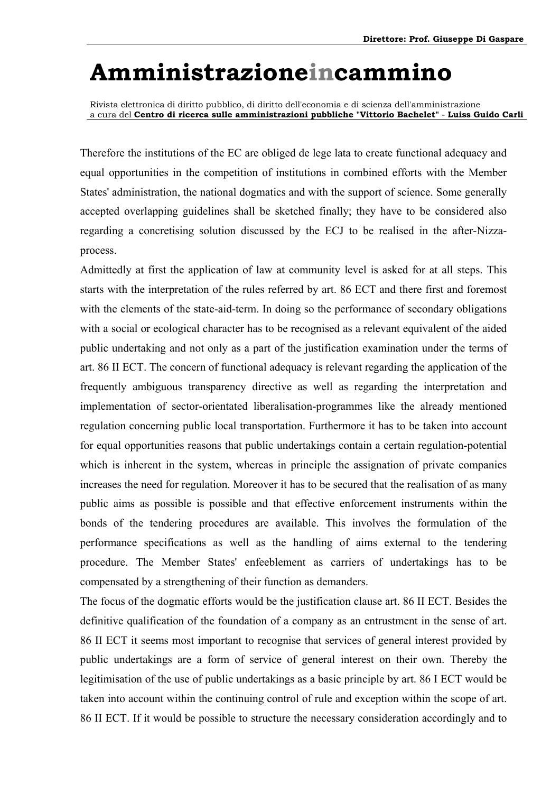Rivista elettronica di diritto pubblico, di diritto dell'economia e di scienza dell'amministrazione a cura del **Centro di ricerca sulle amministrazioni pubbliche "Vittorio Bachelet"** - **Luiss Guido Carli**

Therefore the institutions of the EC are obliged de lege lata to create functional adequacy and equal opportunities in the competition of institutions in combined efforts with the Member States' administration, the national dogmatics and with the support of science. Some generally accepted overlapping guidelines shall be sketched finally; they have to be considered also regarding a concretising solution discussed by the ECJ to be realised in the after-Nizzaprocess.

Admittedly at first the application of law at community level is asked for at all steps. This starts with the interpretation of the rules referred by art. 86 ECT and there first and foremost with the elements of the state-aid-term. In doing so the performance of secondary obligations with a social or ecological character has to be recognised as a relevant equivalent of the aided public undertaking and not only as a part of the justification examination under the terms of art. 86 II ECT. The concern of functional adequacy is relevant regarding the application of the frequently ambiguous transparency directive as well as regarding the interpretation and implementation of sector-orientated liberalisation-programmes like the already mentioned regulation concerning public local transportation. Furthermore it has to be taken into account for equal opportunities reasons that public undertakings contain a certain regulation-potential which is inherent in the system, whereas in principle the assignation of private companies increases the need for regulation. Moreover it has to be secured that the realisation of as many public aims as possible is possible and that effective enforcement instruments within the bonds of the tendering procedures are available. This involves the formulation of the performance specifications as well as the handling of aims external to the tendering procedure. The Member States' enfeeblement as carriers of undertakings has to be compensated by a strengthening of their function as demanders.

The focus of the dogmatic efforts would be the justification clause art. 86 II ECT. Besides the definitive qualification of the foundation of a company as an entrustment in the sense of art. 86 II ECT it seems most important to recognise that services of general interest provided by public undertakings are a form of service of general interest on their own. Thereby the legitimisation of the use of public undertakings as a basic principle by art. 86 I ECT would be taken into account within the continuing control of rule and exception within the scope of art. 86 II ECT. If it would be possible to structure the necessary consideration accordingly and to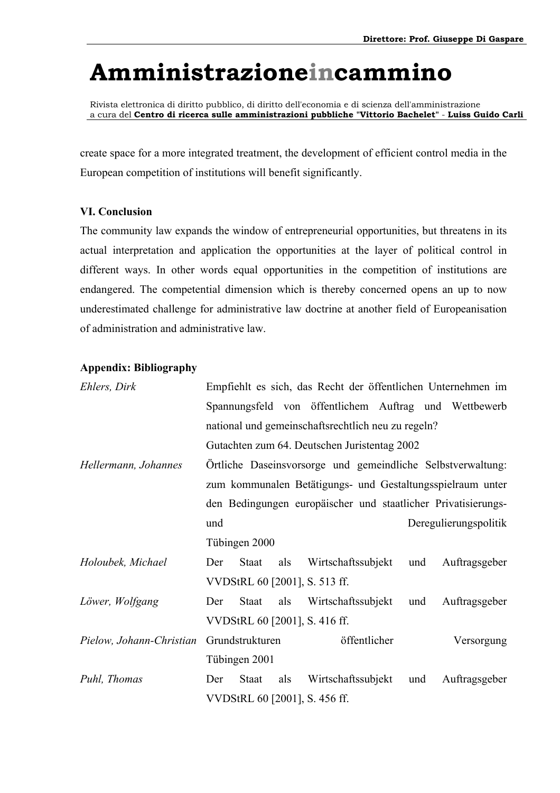Rivista elettronica di diritto pubblico, di diritto dell'economia e di scienza dell'amministrazione a cura del **Centro di ricerca sulle amministrazioni pubbliche "Vittorio Bachelet"** - **Luiss Guido Carli**

create space for a more integrated treatment, the development of efficient control media in the European competition of institutions will benefit significantly.

#### **VI. Conclusion**

The community law expands the window of entrepreneurial opportunities, but threatens in its actual interpretation and application the opportunities at the layer of political control in different ways. In other words equal opportunities in the competition of institutions are endangered. The competential dimension which is thereby concerned opens an up to now underestimated challenge for administrative law doctrine at another field of Europeanisation of administration and administrative law.

#### **Appendix: Bibliography**

| Ehlers, Dirk             |                                                    |                 |     |                                              |  |     | Empfiehlt es sich, das Recht der öffentlichen Unternehmen im  |  |
|--------------------------|----------------------------------------------------|-----------------|-----|----------------------------------------------|--|-----|---------------------------------------------------------------|--|
|                          |                                                    |                 |     |                                              |  |     | Spannungsfeld von öffentlichem Auftrag und Wettbewerb         |  |
|                          | national und gemeinschaftsrechtlich neu zu regeln? |                 |     |                                              |  |     |                                                               |  |
|                          |                                                    |                 |     | Gutachten zum 64. Deutschen Juristentag 2002 |  |     |                                                               |  |
| Hellermann, Johannes     |                                                    |                 |     |                                              |  |     | Örtliche Daseinsvorsorge und gemeindliche Selbstverwaltung:   |  |
|                          |                                                    |                 |     |                                              |  |     | zum kommunalen Betätigungs- und Gestaltungsspielraum unter    |  |
|                          |                                                    |                 |     |                                              |  |     | den Bedingungen europäischer und staatlicher Privatisierungs- |  |
|                          | und                                                |                 |     |                                              |  |     | Deregulierungspolitik                                         |  |
|                          |                                                    | Tübingen 2000   |     |                                              |  |     |                                                               |  |
| Holoubek, Michael        | Der                                                | <b>Staat</b>    | als | Wirtschaftssubjekt                           |  | und | Auftragsgeber                                                 |  |
|                          |                                                    |                 |     | VVDStRL 60 [2001], S. 513 ff.                |  |     |                                                               |  |
| Löwer, Wolfgang          | Der                                                | Staat           | als | Wirtschaftssubjekt                           |  | und | Auftragsgeber                                                 |  |
|                          |                                                    |                 |     | VVDStRL 60 [2001], S. 416 ff.                |  |     |                                                               |  |
| Pielow, Johann-Christian |                                                    | Grundstrukturen |     | öffentlicher                                 |  |     | Versorgung                                                    |  |
|                          |                                                    | Tübingen 2001   |     |                                              |  |     |                                                               |  |
| Puhl, Thomas             | Der                                                | Staat           | als | Wirtschaftssubjekt                           |  | und | Auftragsgeber                                                 |  |
|                          |                                                    |                 |     | VVDStRL 60 [2001], S. 456 ff.                |  |     |                                                               |  |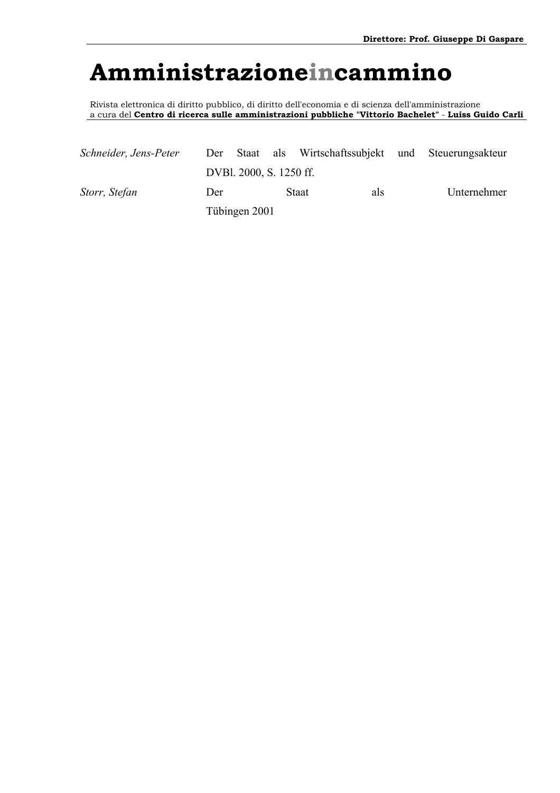Rivista elettronica di diritto pubblico, di diritto dell'economia e di scienza dell'amministrazione a cura del **Centro di ricerca sulle amministrazioni pubbliche "Vittorio Bachelet"** - **Luiss Guido Carli**

| Schneider, Jens-Peter |     |                         | Der Staat als Wirtschaftssubjekt und Steuerungsakteur |             |
|-----------------------|-----|-------------------------|-------------------------------------------------------|-------------|
|                       |     | DVBl. 2000, S. 1250 ff. |                                                       |             |
| Storr, Stefan         | Der |                         | <b>Staat</b><br>als                                   | Unternehmer |
|                       |     | Tübingen 2001           |                                                       |             |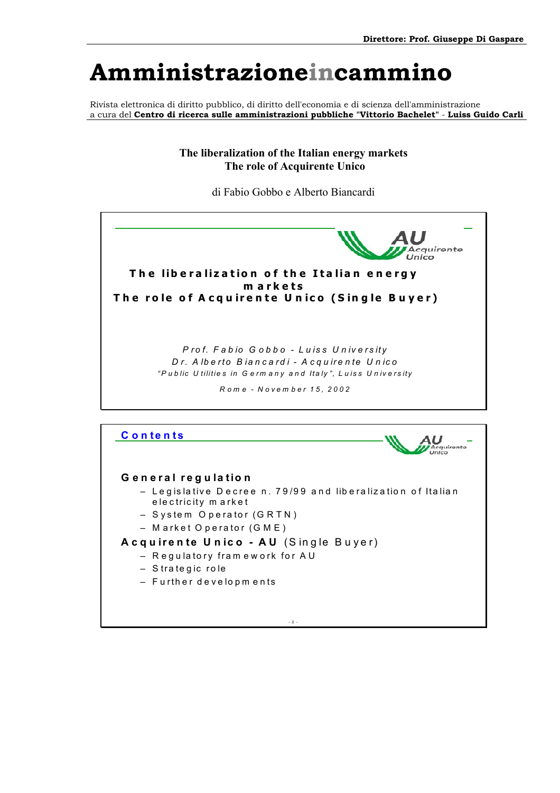Rivista elettronica di diritto pubblico, di diritto dell'economia e di scienza dell'amministrazione a cura del **Centro di ricerca sulle amministrazioni pubbliche "Vittorio Bachelet"** - **Luiss Guido Carli**

> **The liberalization of the Italian energy markets The role of Acquirente Unico**

> > di Fabio Gobbo e Alberto Biancardi

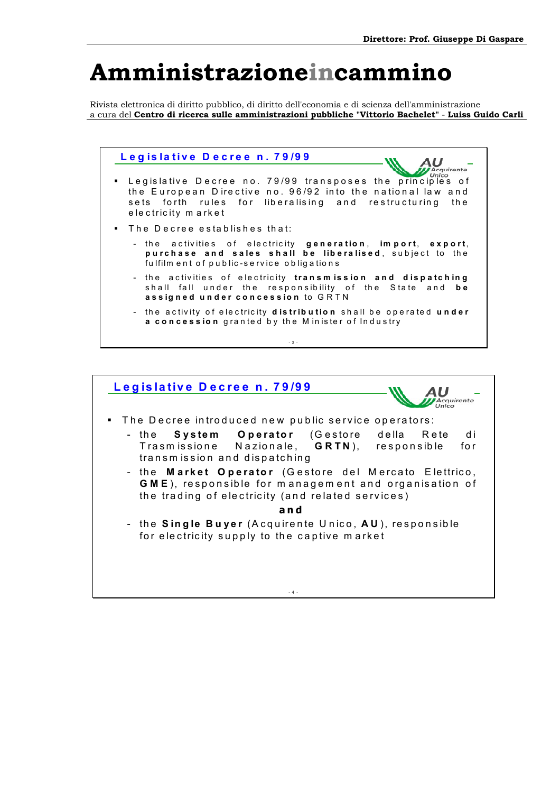Rivista elettronica di diritto pubblico, di diritto dell'economia e di scienza dell'amministrazione a cura del **Centro di ricerca sulle amministrazioni pubbliche "Vittorio Bachelet"** - **Luiss Guido Carli**



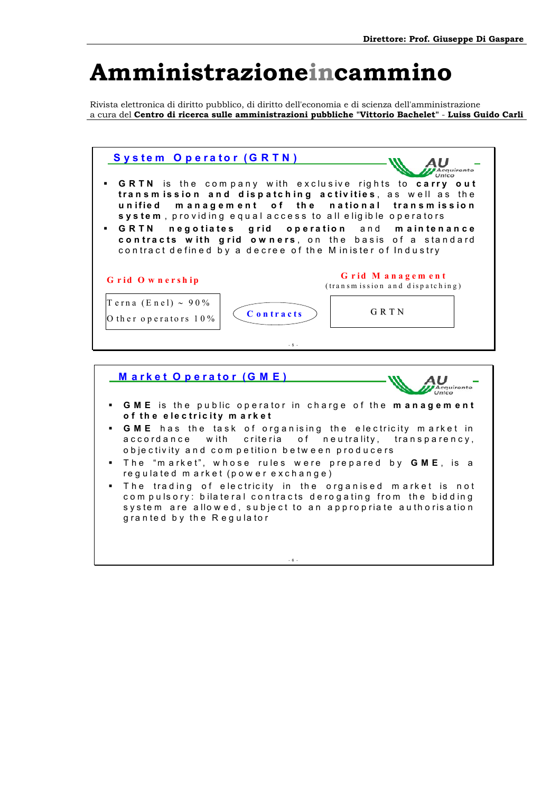Rivista elettronica di diritto pubblico, di diritto dell'economia e di scienza dell'amministrazione a cura del **Centro di ricerca sulle amministrazioni pubbliche "Vittorio Bachelet"** - **Luiss Guido Carli**





- 6 -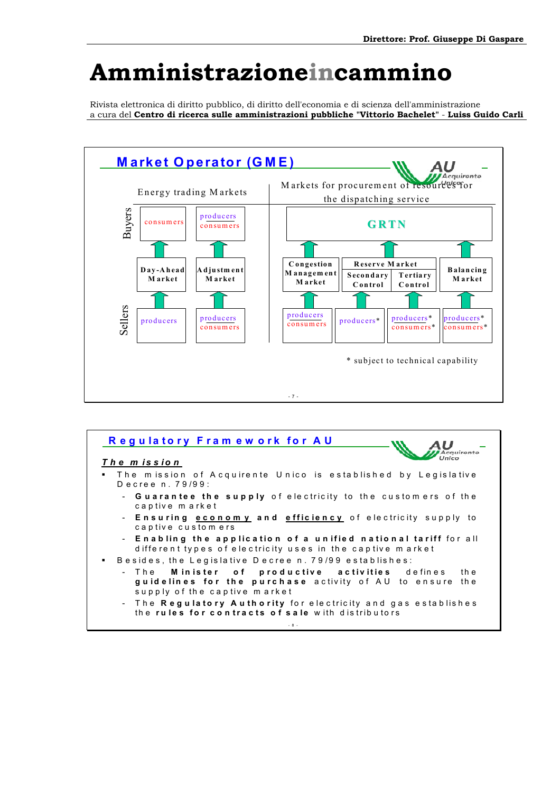Rivista elettronica di diritto pubblico, di diritto dell'economia e di scienza dell'amministrazione a cura del **Centro di ricerca sulle amministrazioni pubbliche "Vittorio Bachelet"** - **Luiss Guido Carli**



| Regulatory Framework for AU                                                                                                       |
|-----------------------------------------------------------------------------------------------------------------------------------|
| The mission                                                                                                                       |
| . The mission of Acquirente Unico is established by Legislative<br>Decree n. 79/99:                                               |
| - <b>Guarantee the supply</b> of electricity to the customers of the<br>captive market                                            |
| - Ensuring <b>economy</b> and <b>efficiency</b> of electricity supply to<br>captive customers                                     |
| - Enabling the application of a unified national tariff for all<br>different types of electricity uses in the captive market      |
| Besides, the Legislative Decree n. 79/99 establishes:<br>п.                                                                       |
| - The <b>Minister</b> of productive activities defines<br>th e                                                                    |
| guidelines for the purchase activity of AU to ensure the<br>supply of the captive market                                          |
| - The <b>Regulatory Authority</b> for electricity and gas establishes<br>the <b>rules for contracts of sale</b> with distributors |
| $-8 -$                                                                                                                            |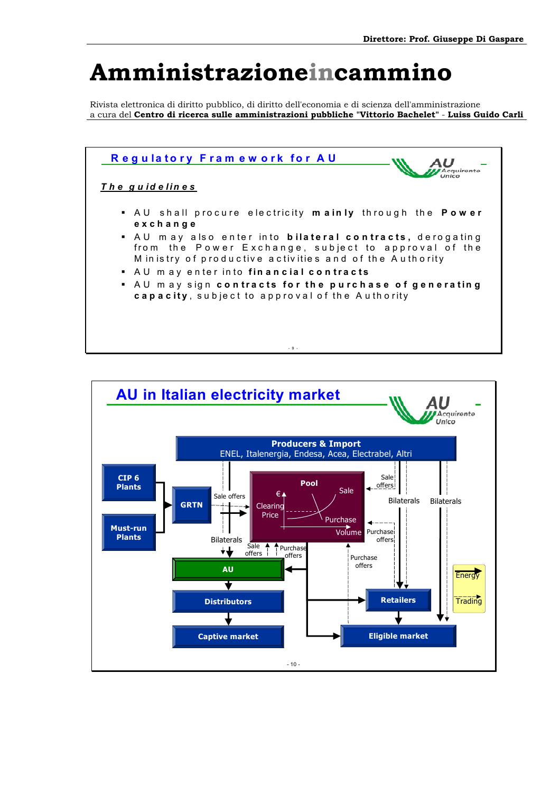Rivista elettronica di diritto pubblico, di diritto dell'economia e di scienza dell'amministrazione a cura del **Centro di ricerca sulle amministrazioni pubbliche "Vittorio Bachelet"** - **Luiss Guido Carli**



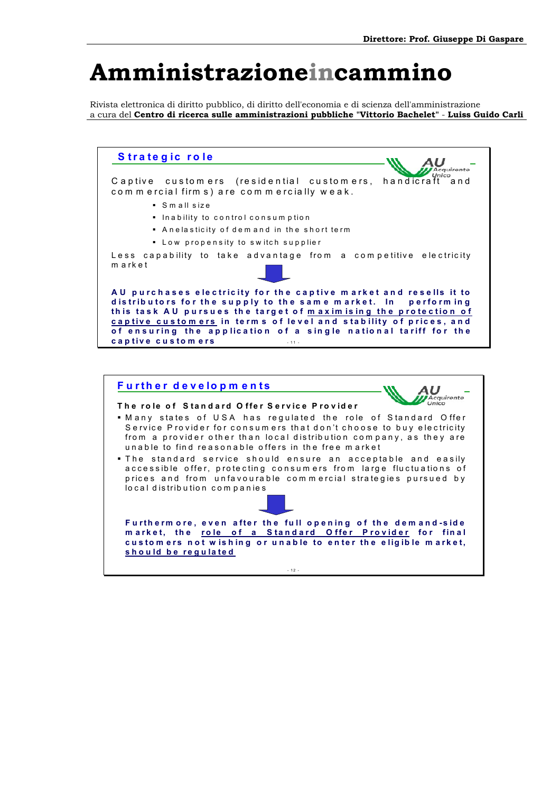Rivista elettronica di diritto pubblico, di diritto dell'economia e di scienza dell'amministrazione a cura del **Centro di ricerca sulle amministrazioni pubbliche "Vittorio Bachelet"** - **Luiss Guido Carli**

**S trate g ic ro le**  AU<br>*Acquirente* C a p tive custom ers (residential custom ers, handicraft and commercial firms) are commercially weak. S m a ll size  $\blacksquare$  In a bility to control consumption Anelasticity of dem and in the short term **Low propensity to switch supplier** Less capability to take advantage from a competitive electricity m arket AU purchases electricity for the captive market and resells it to distributors for the supply to the same market. In performing this task AU pursues the target of maximising the protection of **cap tive cu s to m ers in te rm s o f le ve l a n d s ta b ility o f p ric e s , a n d**  of ensuring the application of a single national tariff for the **c a p tive c u s to m e rs** - 11 -

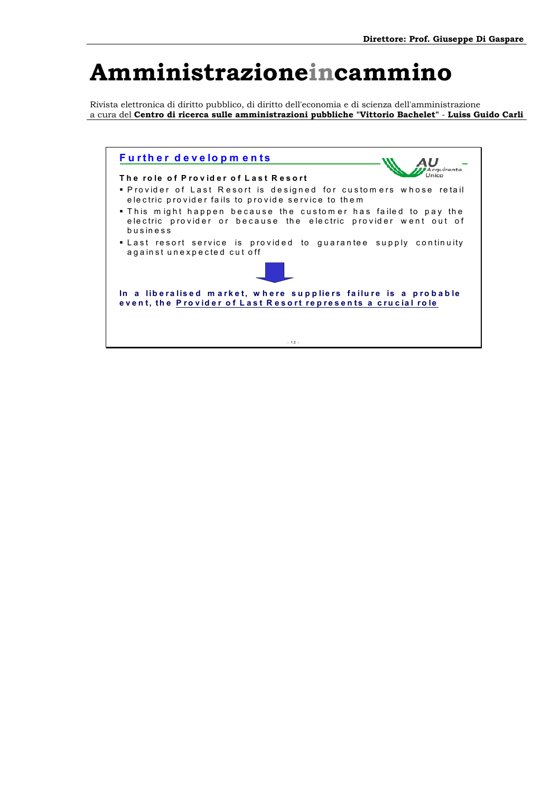Rivista elettronica di diritto pubblico, di diritto dell'economia e di scienza dell'amministrazione a cura del **Centro di ricerca sulle amministrazioni pubbliche "Vittorio Bachelet"** - **Luiss Guido Carli**

| <b>Further developments</b>                                                                                                                  |
|----------------------------------------------------------------------------------------------------------------------------------------------|
| The role of Provider of Last Resort                                                                                                          |
| . Provider of Last Resort is designed for customers whose retail<br>electric provider fails to provide service to them                       |
| . This might happen because the customer has failed to pay the<br>electric provider or because the electric provider went out of<br>business |
| . Last resort service is provided to guarantee supply continuity<br>against unexpected cut off                                               |
|                                                                                                                                              |
| In a liberalised market, where suppliers failure is a probable<br>event, the Provider of Last Resort represents a crucial role               |
|                                                                                                                                              |
|                                                                                                                                              |
| $-13 -$                                                                                                                                      |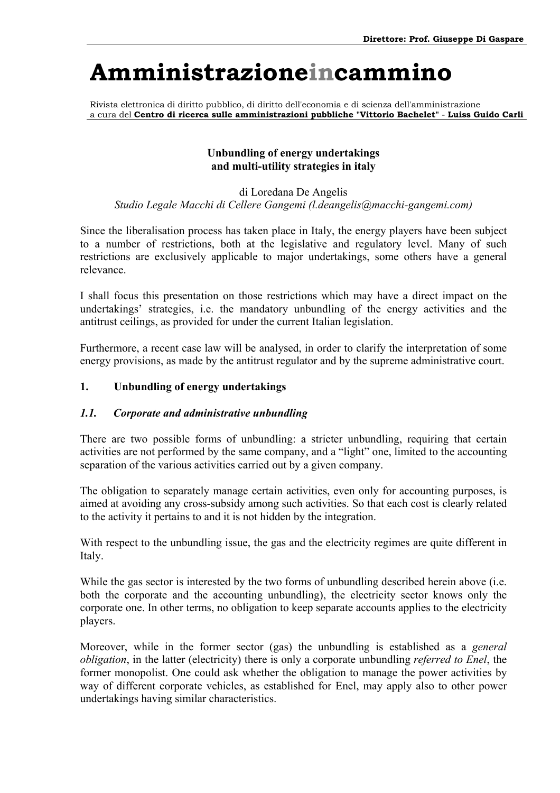Rivista elettronica di diritto pubblico, di diritto dell'economia e di scienza dell'amministrazione a cura del **Centro di ricerca sulle amministrazioni pubbliche "Vittorio Bachelet"** - **Luiss Guido Carli**

#### **Unbundling of energy undertakings and multi-utility strategies in italy**

### di Loredana De Angelis *Studio Legale Macchi di Cellere Gangemi (l.deangelis@macchi-gangemi.com)*

Since the liberalisation process has taken place in Italy, the energy players have been subject to a number of restrictions, both at the legislative and regulatory level. Many of such restrictions are exclusively applicable to major undertakings, some others have a general relevance.

I shall focus this presentation on those restrictions which may have a direct impact on the undertakings' strategies, i.e. the mandatory unbundling of the energy activities and the antitrust ceilings, as provided for under the current Italian legislation.

Furthermore, a recent case law will be analysed, in order to clarify the interpretation of some energy provisions, as made by the antitrust regulator and by the supreme administrative court.

### **1. Unbundling of energy undertakings**

### *1.1. Corporate and administrative unbundling*

There are two possible forms of unbundling: a stricter unbundling, requiring that certain activities are not performed by the same company, and a "light" one, limited to the accounting separation of the various activities carried out by a given company.

The obligation to separately manage certain activities, even only for accounting purposes, is aimed at avoiding any cross-subsidy among such activities. So that each cost is clearly related to the activity it pertains to and it is not hidden by the integration.

With respect to the unbundling issue, the gas and the electricity regimes are quite different in Italy.

While the gas sector is interested by the two forms of unbundling described herein above (i.e. both the corporate and the accounting unbundling), the electricity sector knows only the corporate one. In other terms, no obligation to keep separate accounts applies to the electricity players.

Moreover, while in the former sector (gas) the unbundling is established as a *general obligation*, in the latter (electricity) there is only a corporate unbundling *referred to Enel*, the former monopolist. One could ask whether the obligation to manage the power activities by way of different corporate vehicles, as established for Enel, may apply also to other power undertakings having similar characteristics.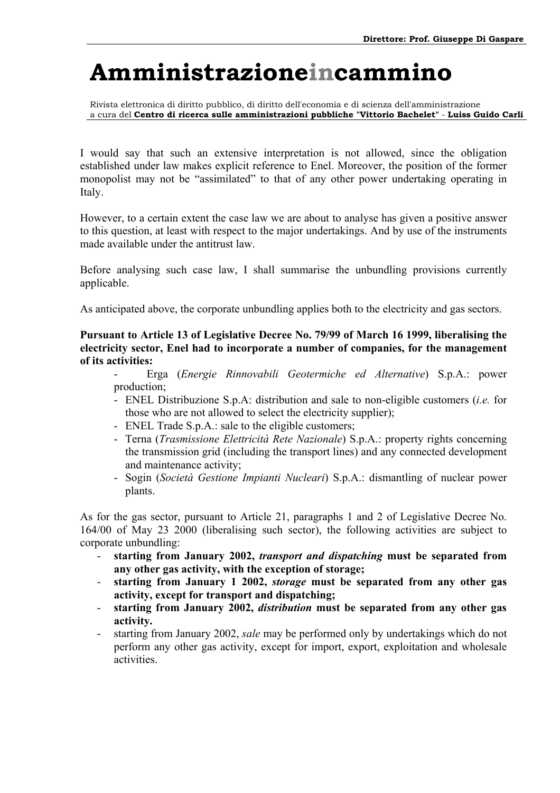Rivista elettronica di diritto pubblico, di diritto dell'economia e di scienza dell'amministrazione a cura del **Centro di ricerca sulle amministrazioni pubbliche "Vittorio Bachelet"** - **Luiss Guido Carli**

I would say that such an extensive interpretation is not allowed, since the obligation established under law makes explicit reference to Enel. Moreover, the position of the former monopolist may not be "assimilated" to that of any other power undertaking operating in Italy.

However, to a certain extent the case law we are about to analyse has given a positive answer to this question, at least with respect to the major undertakings. And by use of the instruments made available under the antitrust law.

Before analysing such case law, I shall summarise the unbundling provisions currently applicable.

As anticipated above, the corporate unbundling applies both to the electricity and gas sectors.

**Pursuant to Article 13 of Legislative Decree No. 79/99 of March 16 1999, liberalising the electricity sector, Enel had to incorporate a number of companies, for the management of its activities:** 

- Erga (*Energie Rinnovabili Geotermiche ed Alternative*) S.p.A.: power production;
- ENEL Distribuzione S.p.A: distribution and sale to non-eligible customers (*i.e.* for those who are not allowed to select the electricity supplier);
- ENEL Trade S.p.A.: sale to the eligible customers;
- Terna (*Trasmissione Elettricità Rete Nazionale*) S.p.A.: property rights concerning the transmission grid (including the transport lines) and any connected development and maintenance activity;
- Sogin (*Società Gestione Impianti Nucleari*) S.p.A.: dismantling of nuclear power plants.

As for the gas sector, pursuant to Article 21, paragraphs 1 and 2 of Legislative Decree No. 164/00 of May 23 2000 (liberalising such sector), the following activities are subject to corporate unbundling:

- **starting from January 2002,** *transport and dispatching* **must be separated from any other gas activity, with the exception of storage;**
- **starting from January 1 2002,** *storage* **must be separated from any other gas activity, except for transport and dispatching;**
- **starting from January 2002,** *distribution* **must be separated from any other gas activity.**
- starting from January 2002, *sale* may be performed only by undertakings which do not perform any other gas activity, except for import, export, exploitation and wholesale activities.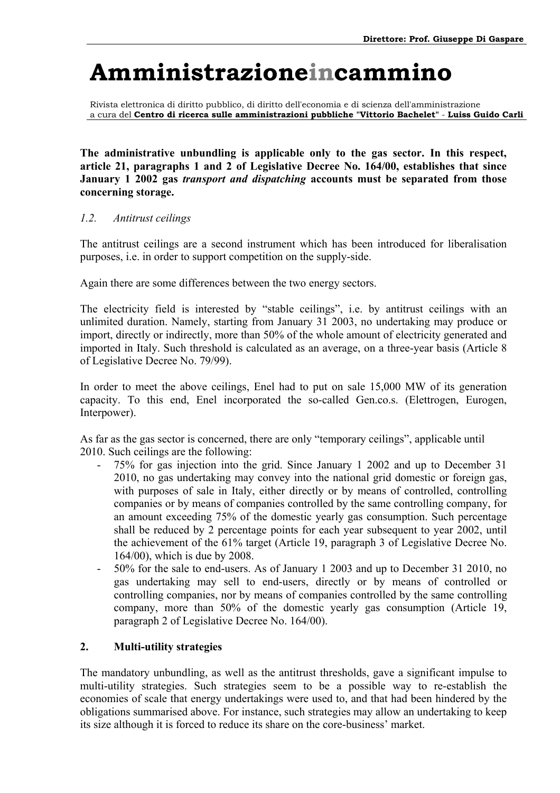Rivista elettronica di diritto pubblico, di diritto dell'economia e di scienza dell'amministrazione a cura del **Centro di ricerca sulle amministrazioni pubbliche "Vittorio Bachelet"** - **Luiss Guido Carli**

**The administrative unbundling is applicable only to the gas sector. In this respect, article 21, paragraphs 1 and 2 of Legislative Decree No. 164/00, establishes that since January 1 2002 gas** *transport and dispatching* **accounts must be separated from those concerning storage.** 

### *1.2. Antitrust ceilings*

The antitrust ceilings are a second instrument which has been introduced for liberalisation purposes, i.e. in order to support competition on the supply-side.

Again there are some differences between the two energy sectors.

The electricity field is interested by "stable ceilings", i.e. by antitrust ceilings with an unlimited duration. Namely, starting from January 31 2003, no undertaking may produce or import, directly or indirectly, more than 50% of the whole amount of electricity generated and imported in Italy. Such threshold is calculated as an average, on a three-year basis (Article 8 of Legislative Decree No. 79/99).

In order to meet the above ceilings, Enel had to put on sale 15,000 MW of its generation capacity. To this end, Enel incorporated the so-called Gen.co.s. (Elettrogen, Eurogen, Interpower).

As far as the gas sector is concerned, there are only "temporary ceilings", applicable until 2010. Such ceilings are the following:

- 75% for gas injection into the grid. Since January 1 2002 and up to December 31 2010, no gas undertaking may convey into the national grid domestic or foreign gas, with purposes of sale in Italy, either directly or by means of controlled, controlling companies or by means of companies controlled by the same controlling company, for an amount exceeding 75% of the domestic yearly gas consumption. Such percentage shall be reduced by 2 percentage points for each year subsequent to year 2002, until the achievement of the 61% target (Article 19, paragraph 3 of Legislative Decree No. 164/00), which is due by 2008.
- 50% for the sale to end-users. As of January 1 2003 and up to December 31 2010, no gas undertaking may sell to end-users, directly or by means of controlled or controlling companies, nor by means of companies controlled by the same controlling company, more than 50% of the domestic yearly gas consumption (Article 19, paragraph 2 of Legislative Decree No. 164/00).

### **2. Multi-utility strategies**

The mandatory unbundling, as well as the antitrust thresholds, gave a significant impulse to multi-utility strategies. Such strategies seem to be a possible way to re-establish the economies of scale that energy undertakings were used to, and that had been hindered by the obligations summarised above. For instance, such strategies may allow an undertaking to keep its size although it is forced to reduce its share on the core-business' market.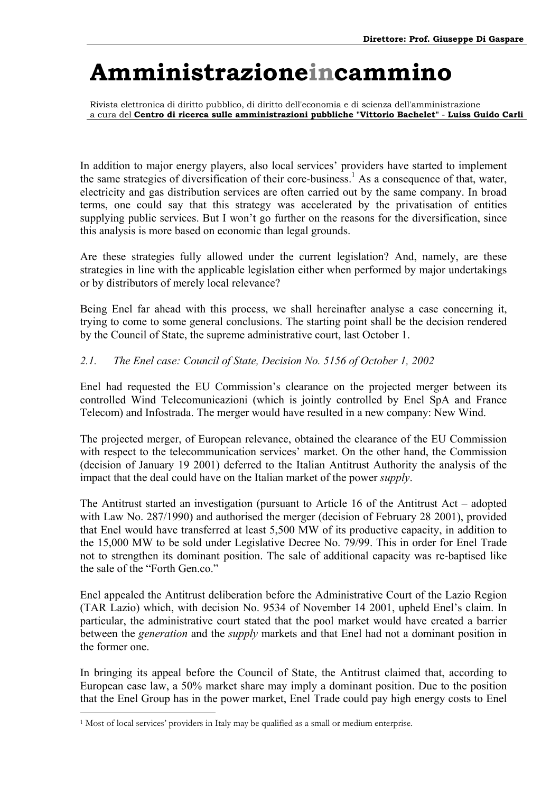Rivista elettronica di diritto pubblico, di diritto dell'economia e di scienza dell'amministrazione a cura del **Centro di ricerca sulle amministrazioni pubbliche "Vittorio Bachelet"** - **Luiss Guido Carli**

In addition to major energy players, also local services' providers have started to implement the same strategies of diversification of their core-business.<sup>[1](#page-27-0)</sup> As a consequence of that, water, electricity and gas distribution services are often carried out by the same company. In broad terms, one could say that this strategy was accelerated by the privatisation of entities supplying public services. But I won't go further on the reasons for the diversification, since this analysis is more based on economic than legal grounds.

Are these strategies fully allowed under the current legislation? And, namely, are these strategies in line with the applicable legislation either when performed by major undertakings or by distributors of merely local relevance?

Being Enel far ahead with this process, we shall hereinafter analyse a case concerning it, trying to come to some general conclusions. The starting point shall be the decision rendered by the Council of State, the supreme administrative court, last October 1.

### *2.1. The Enel case: Council of State, Decision No. 5156 of October 1, 2002*

Enel had requested the EU Commission's clearance on the projected merger between its controlled Wind Telecomunicazioni (which is jointly controlled by Enel SpA and France Telecom) and Infostrada. The merger would have resulted in a new company: New Wind.

The projected merger, of European relevance, obtained the clearance of the EU Commission with respect to the telecommunication services' market. On the other hand, the Commission (decision of January 19 2001) deferred to the Italian Antitrust Authority the analysis of the impact that the deal could have on the Italian market of the power *supply*.

The Antitrust started an investigation (pursuant to Article 16 of the Antitrust  $Act - adopted$ with Law No. 287/1990) and authorised the merger (decision of February 28 2001), provided that Enel would have transferred at least 5,500 MW of its productive capacity, in addition to the 15,000 MW to be sold under Legislative Decree No. 79/99. This in order for Enel Trade not to strengthen its dominant position. The sale of additional capacity was re-baptised like the sale of the "Forth Gen.co."

Enel appealed the Antitrust deliberation before the Administrative Court of the Lazio Region (TAR Lazio) which, with decision No. 9534 of November 14 2001, upheld Enel's claim. In particular, the administrative court stated that the pool market would have created a barrier between the *generation* and the *supply* markets and that Enel had not a dominant position in the former one.

In bringing its appeal before the Council of State, the Antitrust claimed that, according to European case law, a 50% market share may imply a dominant position. Due to the position that the Enel Group has in the power market, Enel Trade could pay high energy costs to Enel

<span id="page-27-0"></span> $<sup>1</sup>$  Most of local services' providers in Italy may be qualified as a small or medium enterprise.</sup>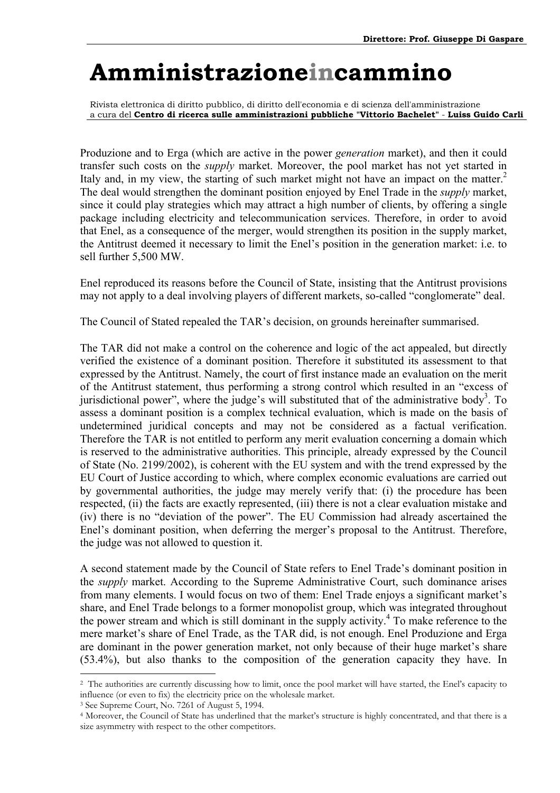Rivista elettronica di diritto pubblico, di diritto dell'economia e di scienza dell'amministrazione a cura del **Centro di ricerca sulle amministrazioni pubbliche "Vittorio Bachelet"** - **Luiss Guido Carli**

Produzione and to Erga (which are active in the power *generation* market), and then it could transfer such costs on the *supply* market. Moreover, the pool market has not yet started in Italy and, in my view, the starting of such market might not have an impact on the matter.<sup>2</sup> The deal would strengthen the dominant position enjoyed by Enel Trade in the *supply* market, since it could play strategies which may attract a high number of clients, by offering a single package including electricity and telecommunication services. Therefore, in order to avoid that Enel, as a consequence of the merger, would strengthen its position in the supply market, the Antitrust deemed it necessary to limit the Enel's position in the generation market: i.e. to sell further 5,500 MW.

Enel reproduced its reasons before the Council of State, insisting that the Antitrust provisions may not apply to a deal involving players of different markets, so-called "conglomerate" deal.

The Council of Stated repealed the TAR's decision, on grounds hereinafter summarised.

The TAR did not make a control on the coherence and logic of the act appealed, but directly verified the existence of a dominant position. Therefore it substituted its assessment to that expressed by the Antitrust. Namely, the court of first instance made an evaluation on the merit of the Antitrust statement, thus performing a strong control which resulted in an "excess of jurisdictional power", where the judge's will substituted that of the administrative body<sup>[3](#page-28-1)</sup>. To assess a dominant position is a complex technical evaluation, which is made on the basis of undetermined juridical concepts and may not be considered as a factual verification. Therefore the TAR is not entitled to perform any merit evaluation concerning a domain which is reserved to the administrative authorities. This principle, already expressed by the Council of State (No. 2199/2002), is coherent with the EU system and with the trend expressed by the EU Court of Justice according to which, where complex economic evaluations are carried out by governmental authorities, the judge may merely verify that: (i) the procedure has been respected, (ii) the facts are exactly represented, (iii) there is not a clear evaluation mistake and (iv) there is no "deviation of the power". The EU Commission had already ascertained the Enel's dominant position, when deferring the merger's proposal to the Antitrust. Therefore, the judge was not allowed to question it.

A second statement made by the Council of State refers to Enel Trade's dominant position in the *supply* market. According to the Supreme Administrative Court, such dominance arises from many elements. I would focus on two of them: Enel Trade enjoys a significant market's share, and Enel Trade belongs to a former monopolist group, which was integrated throughout the power stream and which is still dominant in the supply activity[.4](#page-28-2) To make reference to the mere market's share of Enel Trade, as the TAR did, is not enough. Enel Produzione and Erga are dominant in the power generation market, not only because of their huge market's share (53.4%), but also thanks to the composition of the generation capacity they have. In

<span id="page-28-1"></span>

<span id="page-28-0"></span><sup>&</sup>lt;sup>2</sup> The authorities are currently discussing how to limit, once the pool market will have started, the Enel's capacity to influence (or even to fix) the electricity price on the wholesale market. 3 See Supreme Court, No. 7261 of August 5, 1994.

<span id="page-28-2"></span><sup>&</sup>lt;sup>4</sup> Moreover, the Council of State has underlined that the market's structure is highly concentrated, and that there is a size asymmetry with respect to the other competitors.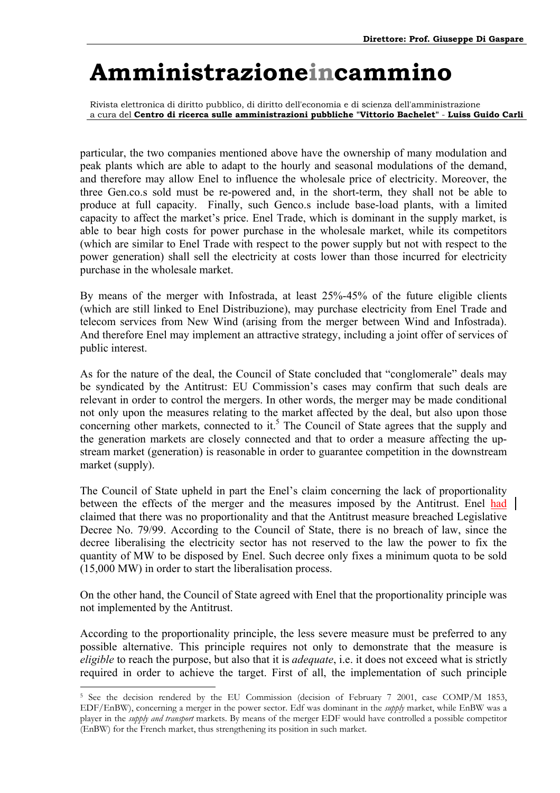Rivista elettronica di diritto pubblico, di diritto dell'economia e di scienza dell'amministrazione a cura del **Centro di ricerca sulle amministrazioni pubbliche "Vittorio Bachelet"** - **Luiss Guido Carli**

particular, the two companies mentioned above have the ownership of many modulation and peak plants which are able to adapt to the hourly and seasonal modulations of the demand, and therefore may allow Enel to influence the wholesale price of electricity. Moreover, the three Gen.co.s sold must be re-powered and, in the short-term, they shall not be able to produce at full capacity. Finally, such Genco.s include base-load plants, with a limited capacity to affect the market's price. Enel Trade, which is dominant in the supply market, is able to bear high costs for power purchase in the wholesale market, while its competitors (which are similar to Enel Trade with respect to the power supply but not with respect to the power generation) shall sell the electricity at costs lower than those incurred for electricity purchase in the wholesale market.

By means of the merger with Infostrada, at least 25%-45% of the future eligible clients (which are still linked to Enel Distribuzione), may purchase electricity from Enel Trade and telecom services from New Wind (arising from the merger between Wind and Infostrada). And therefore Enel may implement an attractive strategy, including a joint offer of services of public interest.

As for the nature of the deal, the Council of State concluded that "conglomerale" deals may be syndicated by the Antitrust: EU Commission's cases may confirm that such deals are relevant in order to control the mergers. In other words, the merger may be made conditional not only upon the measures relating to the market affected by the deal, but also upon those concerning other markets, connected to it.<sup>5</sup> The Council of State agrees that the supply and the generation markets are closely connected and that to order a measure affecting the upstream market (generation) is reasonable in order to guarantee competition in the downstream market (supply).

The Council of State upheld in part the Enel's claim concerning the lack of proportionality between the effects of the merger and the measures imposed by the Antitrust. Enel had claimed that there was no proportionality and that the Antitrust measure breached Legislative Decree No. 79/99. According to the Council of State, there is no breach of law, since the decree liberalising the electricity sector has not reserved to the law the power to fix the quantity of MW to be disposed by Enel. Such decree only fixes a minimum quota to be sold (15,000 MW) in order to start the liberalisation process.

On the other hand, the Council of State agreed with Enel that the proportionality principle was not implemented by the Antitrust.

According to the proportionality principle, the less severe measure must be preferred to any possible alternative. This principle requires not only to demonstrate that the measure is *eligible* to reach the purpose, but also that it is *adequate*, i.e. it does not exceed what is strictly required in order to achieve the target. First of all, the implementation of such principle

<span id="page-29-0"></span><sup>&</sup>lt;sup>5</sup> See the decision rendered by the EU Commission (decision of February 7 2001, case COMP/M 1853, EDF/EnBW), concerning a merger in the power sector. Edf was dominant in the *supply* market, while EnBW was a player in the *supply and transport* markets. By means of the merger EDF would have controlled a possible competitor (EnBW) for the French market, thus strengthening its position in such market.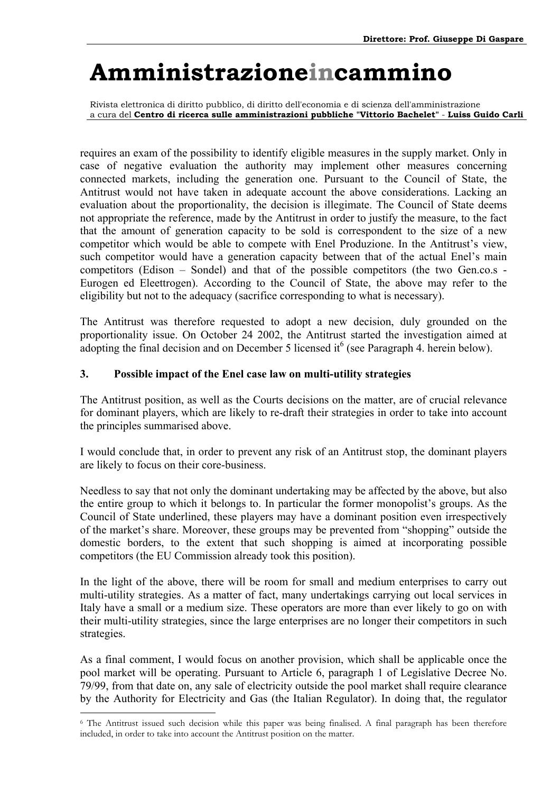Rivista elettronica di diritto pubblico, di diritto dell'economia e di scienza dell'amministrazione a cura del **Centro di ricerca sulle amministrazioni pubbliche "Vittorio Bachelet"** - **Luiss Guido Carli**

requires an exam of the possibility to identify eligible measures in the supply market. Only in case of negative evaluation the authority may implement other measures concerning connected markets, including the generation one. Pursuant to the Council of State, the Antitrust would not have taken in adequate account the above considerations. Lacking an evaluation about the proportionality, the decision is illegimate. The Council of State deems not appropriate the reference, made by the Antitrust in order to justify the measure, to the fact that the amount of generation capacity to be sold is correspondent to the size of a new competitor which would be able to compete with Enel Produzione. In the Antitrust's view, such competitor would have a generation capacity between that of the actual Enel's main competitors (Edison  $-$  Sondel) and that of the possible competitors (the two Gen.co.s -Eurogen ed Eleettrogen). According to the Council of State, the above may refer to the eligibility but not to the adequacy (sacrifice corresponding to what is necessary).

The Antitrust was therefore requested to adopt a new decision, duly grounded on the proportionality issue. On October 24 2002, the Antitrust started the investigation aimed at adopting the final decision and on December 5 licensed it  $6$  (see Paragraph 4. herein below).

### **3. Possible impact of the Enel case law on multi-utility strategies**

The Antitrust position, as well as the Courts decisions on the matter, are of crucial relevance for dominant players, which are likely to re-draft their strategies in order to take into account the principles summarised above.

I would conclude that, in order to prevent any risk of an Antitrust stop, the dominant players are likely to focus on their core-business.

Needless to say that not only the dominant undertaking may be affected by the above, but also the entire group to which it belongs to. In particular the former monopolist's groups. As the Council of State underlined, these players may have a dominant position even irrespectively of the market's share. Moreover, these groups may be prevented from "shopping" outside the domestic borders, to the extent that such shopping is aimed at incorporating possible competitors (the EU Commission already took this position).

In the light of the above, there will be room for small and medium enterprises to carry out multi-utility strategies. As a matter of fact, many undertakings carrying out local services in Italy have a small or a medium size. These operators are more than ever likely to go on with their multi-utility strategies, since the large enterprises are no longer their competitors in such strategies.

As a final comment, I would focus on another provision, which shall be applicable once the pool market will be operating. Pursuant to Article 6, paragraph 1 of Legislative Decree No. 79/99, from that date on, any sale of electricity outside the pool market shall require clearance by the Authority for Electricity and Gas (the Italian Regulator). In doing that, the regulator

<span id="page-30-0"></span><sup>6</sup> The Antitrust issued such decision while this paper was being finalised. A final paragraph has been therefore included, in order to take into account the Antitrust position on the matter.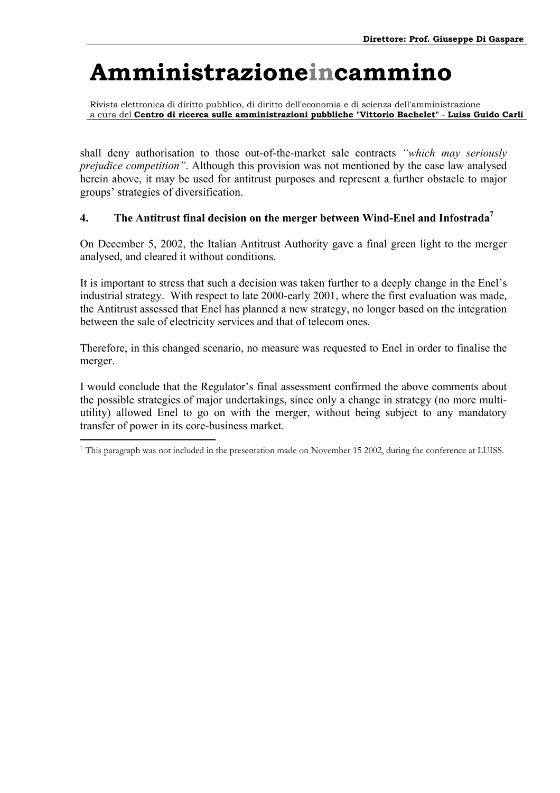Rivista elettronica di diritto pubblico, di diritto dell'economia e di scienza dell'amministrazione a cura del **Centro di ricerca sulle amministrazioni pubbliche "Vittorio Bachelet"** - **Luiss Guido Carli**

shall deny authorisation to those out-of-the-market sale contracts *^which may seriously prejudice competition`*. Although this provision was not mentioned by the case law analysed herein above, it may be used for antitrust purposes and represent a further obstacle to major groups' strategies of diversification.

### **4. The Antitrust final decision on the merger between Wind-Enel and Infostrada[7](#page-31-0)**

On December 5, 2002, the Italian Antitrust Authority gave a final green light to the merger analysed, and cleared it without conditions.

It is important to stress that such a decision was taken further to a deeply change in the Enel's industrial strategy. With respect to late 2000-early 2001, where the first evaluation was made, the Antitrust assessed that Enel has planned a new strategy, no longer based on the integration between the sale of electricity services and that of telecom ones.

Therefore, in this changed scenario, no measure was requested to Enel in order to finalise the merger.

I would conclude that the Regulator's final assessment confirmed the above comments about the possible strategies of major undertakings, since only a change in strategy (no more multiutility) allowed Enel to go on with the merger, without being subject to any mandatory transfer of power in its core-business market.

<span id="page-31-0"></span> $\overline{a}$ 7 This paragraph was not included in the presentation made on November 15 2002, during the conference at LUISS.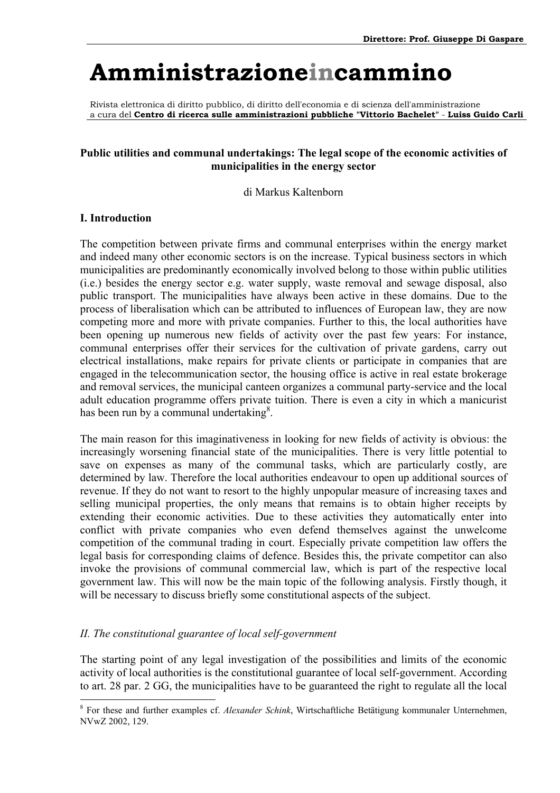Rivista elettronica di diritto pubblico, di diritto dell'economia e di scienza dell'amministrazione a cura del **Centro di ricerca sulle amministrazioni pubbliche "Vittorio Bachelet"** - **Luiss Guido Carli**

#### **Public utilities and communal undertakings: The legal scope of the economic activities of municipalities in the energy sector**

di Markus Kaltenborn

#### **I. Introduction**

 $\overline{a}$ 

The competition between private firms and communal enterprises within the energy market and indeed many other economic sectors is on the increase. Typical business sectors in which municipalities are predominantly economically involved belong to those within public utilities (i.e.) besides the energy sector e.g. water supply, waste removal and sewage disposal, also public transport. The municipalities have always been active in these domains. Due to the process of liberalisation which can be attributed to influences of European law, they are now competing more and more with private companies. Further to this, the local authorities have been opening up numerous new fields of activity over the past few years: For instance, communal enterprises offer their services for the cultivation of private gardens, carry out electrical installations, make repairs for private clients or participate in companies that are engaged in the telecommunication sector, the housing office is active in real estate brokerage and removal services, the municipal canteen organizes a communal party-service and the local adult education programme offers private tuition. There is even a city in which a manicurist has been run by a communal undertaking $8$ .

The main reason for this imaginativeness in looking for new fields of activity is obvious: the increasingly worsening financial state of the municipalities. There is very little potential to save on expenses as many of the communal tasks, which are particularly costly, are determined by law. Therefore the local authorities endeavour to open up additional sources of revenue. If they do not want to resort to the highly unpopular measure of increasing taxes and selling municipal properties, the only means that remains is to obtain higher receipts by extending their economic activities. Due to these activities they automatically enter into conflict with private companies who even defend themselves against the unwelcome competition of the communal trading in court. Especially private competition law offers the legal basis for corresponding claims of defence. Besides this, the private competitor can also invoke the provisions of communal commercial law, which is part of the respective local government law. This will now be the main topic of the following analysis. Firstly though, it will be necessary to discuss briefly some constitutional aspects of the subject.

#### *II. The constitutional guarantee of local self-government*

The starting point of any legal investigation of the possibilities and limits of the economic activity of local authorities is the constitutional guarantee of local self-government. According to art. 28 par. 2 GG, the municipalities have to be guaranteed the right to regulate all the local

<span id="page-32-0"></span><sup>8</sup> For these and further examples cf. *Alexander Schink*, Wirtschaftliche Betätigung kommunaler Unternehmen, NVwZ 2002, 129.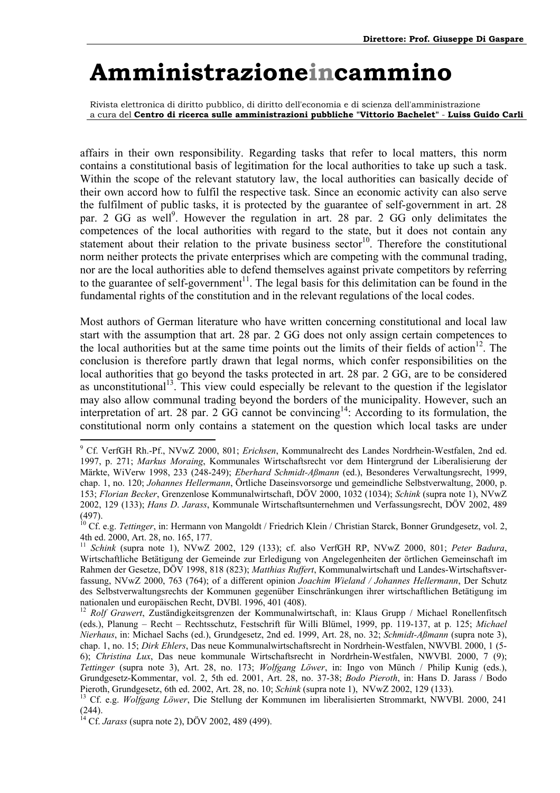Rivista elettronica di diritto pubblico, di diritto dell'economia e di scienza dell'amministrazione a cura del **Centro di ricerca sulle amministrazioni pubbliche "Vittorio Bachelet"** - **Luiss Guido Carli**

affairs in their own responsibility. Regarding tasks that refer to local matters, this norm contains a constitutional basis of legitimation for the local authorities to take up such a task. Within the scope of the relevant statutory law, the local authorities can basically decide of their own accord how to fulfil the respective task. Since an economic activity can also serve the fulfilment of public tasks, it is protected by the guarantee of self-government in art. 28 par. 2 GG as well<sup>9</sup>. However the regulation in art. 28 par. 2 GG only delimitates the competences of the local authorities with regard to the state, but it does not contain any statement about their relation to the private business sector<sup>10</sup>. Therefore the constitutional norm neither protects the private enterprises which are competing with the communal trading, nor are the local authorities able to defend themselves against private competitors by referring to the guarantee of self-government<sup>11</sup>. The legal basis for this delimitation can be found in the fundamental rights of the constitution and in the relevant regulations of the local codes.

Most authors of German literature who have written concerning constitutional and local law start with the assumption that art. 28 par. 2 GG does not only assign certain competences to the local authorities but at the same time points out the limits of their fields of action<sup>12</sup>. The conclusion is therefore partly drawn that legal norms, which confer responsibilities on the local authorities that go beyond the tasks protected in art. 28 par. 2 GG, are to be considered as unconstitutional<sup>13</sup>. This view could especially be relevant to the question if the legislator may also allow communal trading beyond the borders of the municipality. However, such an interpretation of art. 28 par. 2  $\overrightarrow{GG}$  cannot be convincing<sup>14</sup>: According to its formulation, the constitutional norm only contains a statement on the question which local tasks are under

<span id="page-33-0"></span><sup>9</sup> Cf. VerfGH Rh.-Pf., NVwZ 2000, 801; *Erichsen*, Kommunalrecht des Landes Nordrhein-Westfalen, 2nd ed. 1997, p. 271; *Markus Moraing*, Kommunales Wirtschaftsrecht vor dem Hintergrund der Liberalisierung der Märkte, WiVerw 1998, 233 (248-249); *Eberhard Schmidt-Aßmann* (ed.), Besonderes Verwaltungsrecht, 1999, chap. 1, no. 120; *Johannes Hellermann*, Örtliche Daseinsvorsorge und gemeindliche Selbstverwaltung, 2000, p. 153; *Florian Becker*, Grenzenlose Kommunalwirtschaft, DÖV 2000, 1032 (1034); *Schink* (supra note 1), NVwZ 2002, 129 (133); *Hans D*. *Jarass*, Kommunale Wirtschaftsunternehmen und Verfassungsrecht, DÖV 2002, 489 (497).

<span id="page-33-1"></span><sup>&</sup>lt;sup>10</sup> Cf. e.g. *Tettinger*, in: Hermann von Mangoldt / Friedrich Klein / Christian Starck, Bonner Grundgesetz, vol. 2, 4th ed. 2000, Art. 28, no. 165, 177.

<span id="page-33-2"></span><sup>11</sup> *Schink* (supra note 1), NVwZ 2002, 129 (133); cf. also VerfGH RP, NVwZ 2000, 801; *Peter Badura*, Wirtschaftliche Betätigung der Gemeinde zur Erledigung von Angelegenheiten der örtlichen Gemeinschaft im Rahmen der Gesetze, DÖV 1998, 818 (823); *Matthias Ruffert*, Kommunalwirtschaft und Landes-Wirtschaftsverfassung, NVwZ 2000, 763 (764); of a different opinion *Joachim Wieland / Johannes Hellermann*, Der Schutz des Selbstverwaltungsrechts der Kommunen gegenüber Einschränkungen ihrer wirtschaftlichen Betätigung im nationalen und europäischen Recht, DVBl. 1996, 401 (408).

<span id="page-33-3"></span><sup>12</sup> *Rolf Grawert*, Zuständigkeitsgrenzen der Kommunalwirtschaft, in: Klaus Grupp / Michael Ronellenfitsch (eds.), Planung - Recht - Rechtsschutz, Festschrift für Willi Blümel, 1999, pp. 119-137, at p. 125; *Michael Nierhaus*, in: Michael Sachs (ed.), Grundgesetz, 2nd ed. 1999, Art. 28, no. 32; *Schmidt-Aßmann* (supra note 3), chap. 1, no. 15; *Dirk Ehlers*, Das neue Kommunalwirtschaftsrecht in Nordrhein-Westfalen, NWVBl. 2000, 1 (5- 6); *Christina Lux*, Das neue kommunale Wirtschaftsrecht in Nordrhein-Westfalen, NWVBl. 2000, 7 (9); *Tettinger* (supra note 3), Art. 28, no. 173; *Wolfgang Löwer*, in: Ingo von Münch / Philip Kunig (eds.), Grundgesetz-Kommentar, vol. 2, 5th ed. 2001, Art. 28, no. 37-38; *Bodo Pieroth*, in: Hans D. Jarass / Bodo Pieroth, Grundgesetz, 6th ed. 2002, Art. 28, no. 10; *Schink* (supra note 1), NVwZ 2002, 129 (133). 13 Cf. e.g. *Wolfgang Löwer*, Die Stellung der Kommunen im liberalisierten Strommarkt, NWVBl. 2000, 241

<span id="page-33-4"></span><sup>(244).</sup> 

<span id="page-33-5"></span><sup>14</sup> Cf. *Jarass* (supra note 2), DÖV 2002, 489 (499).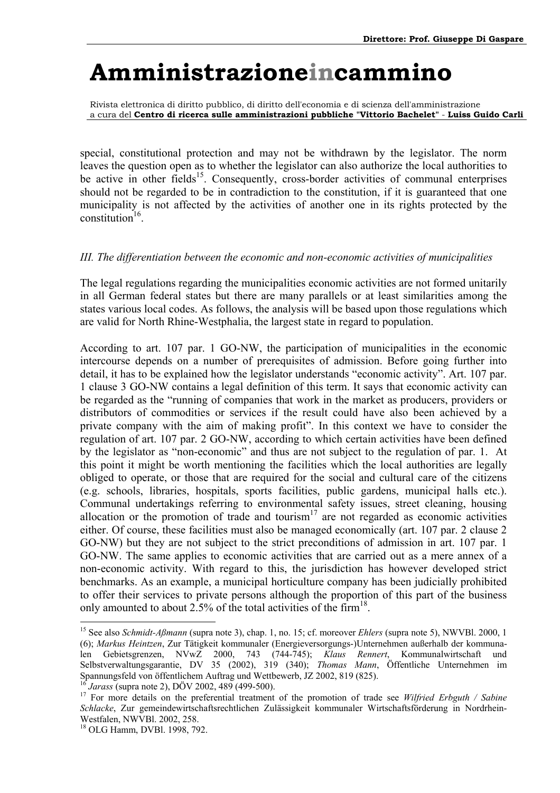Rivista elettronica di diritto pubblico, di diritto dell'economia e di scienza dell'amministrazione a cura del **Centro di ricerca sulle amministrazioni pubbliche "Vittorio Bachelet"** - **Luiss Guido Carli**

special, constitutional protection and may not be withdrawn by the legislator. The norm leaves the question open as to whether the legislator can also authorize the local authorities to be active in other fields<sup>15</sup>. Consequently, cross-border activities of communal enterprises should not be regarded to be in contradiction to the constitution, if it is guaranteed that one municipality is not affected by the activities of another one in its rights protected by the constitution $16$ .

#### *III. The differentiation between the economic and non-economic activities of municipalities*

The legal regulations regarding the municipalities economic activities are not formed unitarily in all German federal states but there are many parallels or at least similarities among the states various local codes. As follows, the analysis will be based upon those regulations which are valid for North Rhine-Westphalia, the largest state in regard to population.

According to art. 107 par. 1 GO-NW, the participation of municipalities in the economic intercourse depends on a number of prerequisites of admission. Before going further into detail, it has to be explained how the legislator understands "economic activity". Art. 107 par. 1 clause 3 GO-NW contains a legal definition of this term. It says that economic activity can be regarded as the "running of companies that work in the market as producers, providers or distributors of commodities or services if the result could have also been achieved by a private company with the aim of making profit". In this context we have to consider the regulation of art. 107 par. 2 GO-NW, according to which certain activities have been defined by the legislator as "non-economic" and thus are not subject to the regulation of par. 1. At this point it might be worth mentioning the facilities which the local authorities are legally obliged to operate, or those that are required for the social and cultural care of the citizens (e.g. schools, libraries, hospitals, sports facilities, public gardens, municipal halls etc.). Communal undertakings referring to environmental safety issues, street cleaning, housing allocation or the promotion of trade and tourism<sup>17</sup> are not regarded as economic activities either. Of course, these facilities must also be managed economically (art. 107 par. 2 clause 2 GO-NW) but they are not subject to the strict preconditions of admission in art. 107 par. 1 GO-NW. The same applies to economic activities that are carried out as a mere annex of a non-economic activity. With regard to this, the jurisdiction has however developed strict benchmarks. As an example, a municipal horticulture company has been judicially prohibited to offer their services to private persons although the proportion of this part of the business only amounted to about 2.5% of the total activities of the firm<sup>18</sup>.

<span id="page-34-2"></span>

<span id="page-34-0"></span><sup>15</sup> See also *Schmidt-Aßmann* (supra note 3), chap. 1, no. 15; cf. moreover *Ehlers* (supra note 5), NWVBl. 2000, 1 (6); *Markus Heintzen*, Zur Tätigkeit kommunaler (Energieversorgungs-)Unternehmen außerhalb der kommunalen Gebietsgrenzen, NVwZ 2000, 743 (744-745); *Klaus Rennert*, Kommunalwirtschaft und Selbstverwaltungsgarantie, DV 35 (2002), 319 (340); *Thomas Mann*, Öffentliche Unternehmen im Spannungsfeld von öffentlichem Auftrag und Wettbewerb, JZ 2002, 819 (825).

<span id="page-34-1"></span><sup>&</sup>lt;sup>16</sup> *Jarass* (supra note 2), DÖV 2002, 489 (499-500).<br><sup>17</sup> For more details on the preferential treatment of the promotion of trade see *Wilfried Erbguth / Sabine Schlacke*, Zur gemeindewirtschaftsrechtlichen Zulässigkeit kommunaler Wirtschaftsförderung in Nordrhein-Westfalen, NWVBl. 2002, 258.

<span id="page-34-3"></span><sup>18</sup> OLG Hamm, DVBl. 1998, 792.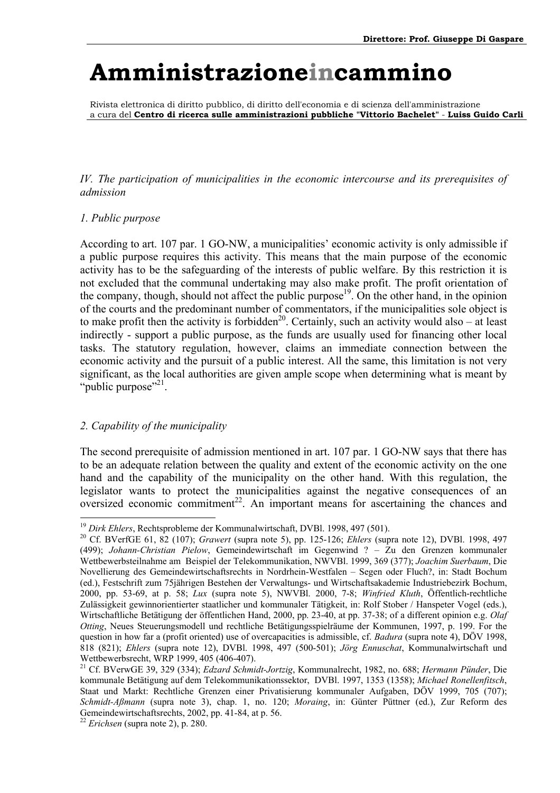Rivista elettronica di diritto pubblico, di diritto dell'economia e di scienza dell'amministrazione a cura del **Centro di ricerca sulle amministrazioni pubbliche "Vittorio Bachelet"** - **Luiss Guido Carli**

*IV. The participation of municipalities in the economic intercourse and its prerequisites of admission* 

#### *1. Public purpose*

According to art. 107 par. 1 GO-NW, a municipalities' economic activity is only admissible if a public purpose requires this activity. This means that the main purpose of the economic activity has to be the safeguarding of the interests of public welfare. By this restriction it is not excluded that the communal undertaking may also make profit. The profit orientation of the company, though, should not affect the public purpose<sup>19</sup>. On the other hand, in the opinion of the courts and the predominant number of commentators, if the municipalities sole object is to make profit then the activity is forbidden<sup>20</sup>. Certainly, such an activity would also – at least indirectly - support a public purpose, as the funds are usually used for financing other local tasks. The statutory regulation, however, claims an immediate connection between the economic activity and the pursuit of a public interest. All the same, this limitation is not very significant, as the local authorities are given ample scope when determining what is meant by "public purpose"<sup>21</sup>.

### *2. Capability of the municipality*

 $\overline{a}$ 

The second prerequisite of admission mentioned in art. 107 par. 1 GO-NW says that there has to be an adequate relation between the quality and extent of the economic activity on the one hand and the capability of the municipality on the other hand. With this regulation, the legislator wants to protect the municipalities against the negative consequences of an oversized economic commitment<sup>22</sup>. An important means for ascertaining the chances and

<span id="page-35-1"></span><span id="page-35-0"></span>

<sup>&</sup>lt;sup>19</sup> *Dirk Ehlers*, Rechtsprobleme der Kommunalwirtschaft, DVBl. 1998, 497 (501).<br><sup>20</sup> Cf. BVerfGE 61, 82 (107); *Grawert* (supra note 5), pp. 125-126; *Ehlers* (supra note 12), DVBl. 1998, 497 (499); *Johann-Christian Pielow*, Gemeindewirtschaft im Gegenwind ? – Zu den Grenzen kommunaler Wettbewerbsteilnahme am Beispiel der Telekommunikation, NWVBl. 1999, 369 (377); *Joachim Suerbaum*, Die Novellierung des Gemeindewirtschaftsrechts in Nordrhein-Westfalen - Segen oder Fluch?, in: Stadt Bochum (ed.), Festschrift zum 75jährigen Bestehen der Verwaltungs- und Wirtschaftsakademie Industriebezirk Bochum, 2000, pp. 53-69, at p. 58; *Lux* (supra note 5), NWVBl. 2000, 7-8; *Winfried Kluth*, Öffentlich-rechtliche Zulässigkeit gewinnorientierter staatlicher und kommunaler Tätigkeit, in: Rolf Stober / Hanspeter Vogel (eds.), Wirtschaftliche Betätigung der öffentlichen Hand, 2000, pp. 23-40, at pp. 37-38; of a different opinion e.g. *Olaf Otting*, Neues Steuerungsmodell und rechtliche Betätigungsspielräume der Kommunen, 1997, p. 199. For the question in how far a (profit oriented) use of overcapacities is admissible, cf. *Badura* (supra note 4), DÖV 1998, 818 (821); *Ehlers* (supra note 12), DVBl. 1998, 497 (500-501); *Jörg Ennuschat*, Kommunalwirtschaft und Wettbewerbsrecht, WRP 1999, 405 (406-407).

<span id="page-35-2"></span><sup>21</sup> Cf. BVerwGE 39, 329 (334); *Edzard Schmidt-Jortzig*, Kommunalrecht, 1982, no. 688; *Hermann Pünder*, Die kommunale Betätigung auf dem Telekommunikationssektor, DVBl. 1997, 1353 (1358); *Michael Ronellenfitsch*, Staat und Markt: Rechtliche Grenzen einer Privatisierung kommunaler Aufgaben, DÖV 1999, 705 (707); *Schmidt-Aßmann* (supra note 3), chap. 1, no. 120; *Moraing*, in: Günter Püttner (ed.), Zur Reform des Gemeindewirtschaftsrechts, 2002, pp. 41-84, at p. 56.

<span id="page-35-3"></span><sup>22</sup> *Erichsen* (supra note 2), p. 280.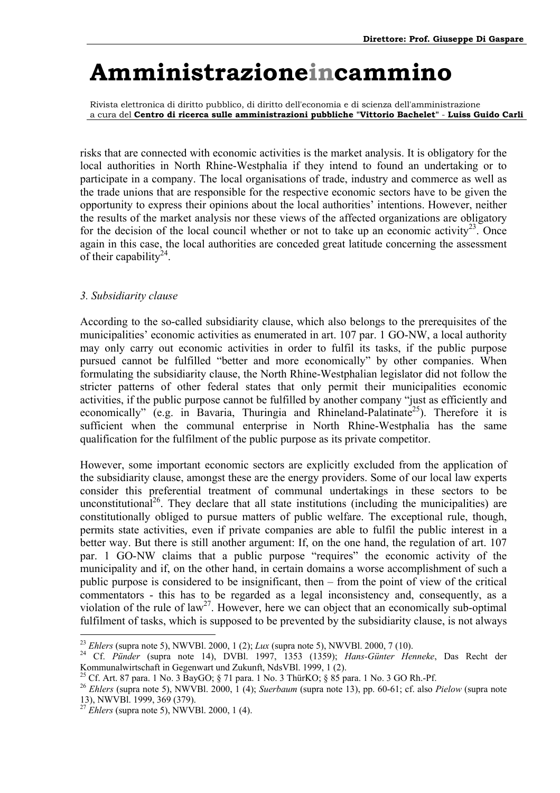Rivista elettronica di diritto pubblico, di diritto dell'economia e di scienza dell'amministrazione a cura del **Centro di ricerca sulle amministrazioni pubbliche "Vittorio Bachelet"** - **Luiss Guido Carli**

risks that are connected with economic activities is the market analysis. It is obligatory for the local authorities in North Rhine-Westphalia if they intend to found an undertaking or to participate in a company. The local organisations of trade, industry and commerce as well as the trade unions that are responsible for the respective economic sectors have to be given the opportunity to express their opinions about the local authorities' intentions. However, neither the results of the market analysis nor these views of the affected organizations are obligatory for the decision of the local council whether or not to take up an economic activity<sup>23</sup>. Once again in this case, the local authorities are conceded great latitude concerning the assessment of their capability<sup>24</sup>.

### *3. Subsidiarity clause*

According to the so-called subsidiarity clause, which also belongs to the prerequisites of the municipalities' economic activities as enumerated in art. 107 par. 1 GO-NW, a local authority may only carry out economic activities in order to fulfil its tasks, if the public purpose pursued cannot be fulfilled "better and more economically" by other companies. When formulating the subsidiarity clause, the North Rhine-Westphalian legislator did not follow the stricter patterns of other federal states that only permit their municipalities economic activities, if the public purpose cannot be fulfilled by another company "just as efficiently and economically" (e.g. in Bavaria, Thuringia and Rhineland-Palatinate<sup>25</sup>). Therefore it is sufficient when the communal enterprise in North Rhine-Westphalia has the same qualification for the fulfilment of the public purpose as its private competitor.

However, some important economic sectors are explicitly excluded from the application of the subsidiarity clause, amongst these are the energy providers. Some of our local law experts consider this preferential treatment of communal undertakings in these sectors to be unconstitutional<sup>26</sup>. They declare that all state institutions (including the municipalities) are constitutionally obliged to pursue matters of public welfare. The exceptional rule, though, permits state activities, even if private companies are able to fulfil the public interest in a better way. But there is still another argument: If, on the one hand, the regulation of art. 107 par. 1 GO-NW claims that a public purpose "requires" the economic activity of the municipality and if, on the other hand, in certain domains a worse accomplishment of such a public purpose is considered to be insignificant, then  $-$  from the point of view of the critical commentators - this has to be regarded as a legal inconsistency and, consequently, as a violation of the rule of law<sup>27</sup>. However, here we can object that an economically sub-optimal fulfilment of tasks, which is supposed to be prevented by the subsidiarity clause, is not always

 $\overline{a}$ 

<span id="page-36-1"></span><span id="page-36-0"></span><sup>23</sup> *Ehlers* (supra note 5), NWVBl. 2000, 1 (2); *Lux* (supra note 5), NWVBl. 2000, 7 (10). 24 Cf. *Pünder* (supra note 14), DVBl. 1997, 1353 (1359); *Hans-Günter Henneke*, Das Recht der Kommunalwirtschaft in Gegenwart und Zukunft, NdsVBl. 1999, 1 (2).

<span id="page-36-2"></span><sup>25</sup> Cf. Art. 87 para. 1 No. 3 BayGO; § 71 para. 1 No. 3 ThürKO; § 85 para. 1 No. 3 GO Rh.-Pf.

<span id="page-36-3"></span><sup>26</sup> *Ehlers* (supra note 5), NWVBl. 2000, 1 (4); *Suerbaum* (supra note 13), pp. 60-61; cf. also *Pielow* (supra note 13), NWVBl. 1999, 369 (379).

<span id="page-36-4"></span><sup>27</sup> *Ehlers* (supra note 5), NWVBl. 2000, 1 (4).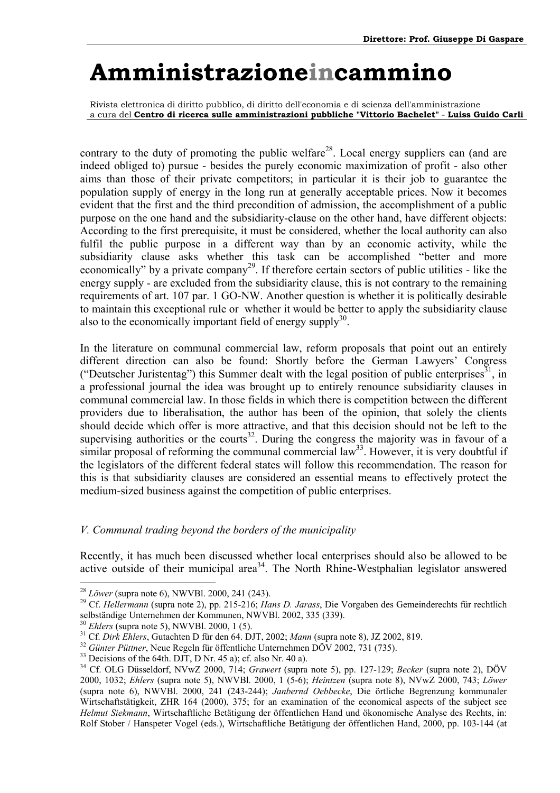<span id="page-37-6"></span>Rivista elettronica di diritto pubblico, di diritto dell'economia e di scienza dell'amministrazione a cura del **Centro di ricerca sulle amministrazioni pubbliche "Vittorio Bachelet"** - **Luiss Guido Carli**

contrary to the duty of promoting the public welfare<sup>28</sup>. Local energy suppliers can (and are indeed obliged to) pursue - besides the purely economic maximization of profit - also other aims than those of their private competitors; in particular it is their job to guarantee the population supply of energy in the long run at generally acceptable prices. Now it becomes evident that the first and the third precondition of admission, the accomplishment of a public purpose on the one hand and the subsidiarity-clause on the other hand, have different objects: According to the first prerequisite, it must be considered, whether the local authority can also fulfil the public purpose in a different way than by an economic activity, while the subsidiarity clause asks whether this task can be accomplished "better and more economically" by a private company<sup>29</sup>. If therefore certain sectors of public utilities - like the energy supply - are excluded from the subsidiarity clause, this is not contrary to the remaining requirements of art. 107 par. 1 GO-NW. Another question is whether it is politically desirable to maintain this exceptional rule or whether it would be better to apply the subsidiarity clause also to the economically important field of energy supply $30$ .

In the literature on communal commercial law, reform proposals that point out an entirely different direction can also be found: Shortly before the German Lawyers' Congress ("Deutscher Juristentag") this Summer dealt with the legal position of public enterprises<sup>31</sup>, in a professional journal the idea was brought up to entirely renounce subsidiarity clauses in communal commercial law. In those fields in which there is competition between the different providers due to liberalisation, the author has been of the opinion, that solely the clients should decide which offer is more attractive, and that this decision should not be left to the supervising authorities or the courts<sup>32</sup>. During the congress the majority was in favour of a similar proposal of reforming the communal commercial law<sup>33</sup>. However, it is very doubtful if the legislators of the different federal states will follow this recommendation. The reason for this is that subsidiarity clauses are considered an essential means to effectively protect the medium-sized business against the competition of public enterprises.

### *V. Communal trading beyond the borders of the municipality*

Recently, it has much been discussed whether local enterprises should also be allowed to be active outside of their municipal area<sup>34</sup>. The North Rhine-Westphalian legislator answered

<span id="page-37-1"></span><span id="page-37-0"></span>

<sup>28</sup> *Löwer* (supra note 6), NWVBl. 2000, 241 (243). 29 Cf. *Hellermann* (supra note 2), pp. 215-216; *Hans D. Jarass*, Die Vorgaben des Gemeinderechts für rechtlich selbständige Unternehmen der Kommunen, NWVBl. 2002, 335 (339).

<span id="page-37-3"></span><span id="page-37-2"></span>

<sup>&</sup>lt;sup>30</sup> Ehlers (supra note 5), NWVBl. 2000, 1 (5).<br><sup>31</sup> Cf. *Dirk Ehlers*, Gutachten D für den 64. DJT, 2002; *Mann* (supra note 8), JZ 2002, 819.<br><sup>32</sup> Günter Püttner, Neue Regeln für öffentliche Unternehmen DÖV 2002, 731 (7

<span id="page-37-4"></span>

<span id="page-37-5"></span>

<sup>34</sup> Cf. OLG Düsseldorf, NVwZ 2000, 714; *Grawert* (supra note 5), pp. 127-129; *Becker* (supra note 2), DÖV 2000, 1032; *Ehlers* (supra note 5), NWVBl. 2000, 1 (5-6); *Heintzen* (supra note 8), NVwZ 2000, 743; *Löwer* (supra note 6), NWVBl. 2000, 241 (243-244); *Janbernd Oebbecke*, Die örtliche Begrenzung kommunaler Wirtschaftstätigkeit, ZHR 164 (2000), 375; for an examination of the economical aspects of the subject see *Helmut Siekmann*, Wirtschaftliche Betätigung der öffentlichen Hand und ökonomische Analyse des Rechts, in: Rolf Stober / Hanspeter Vogel (eds.), Wirtschaftliche Betätigung der öffentlichen Hand, 2000, pp. 103-144 (at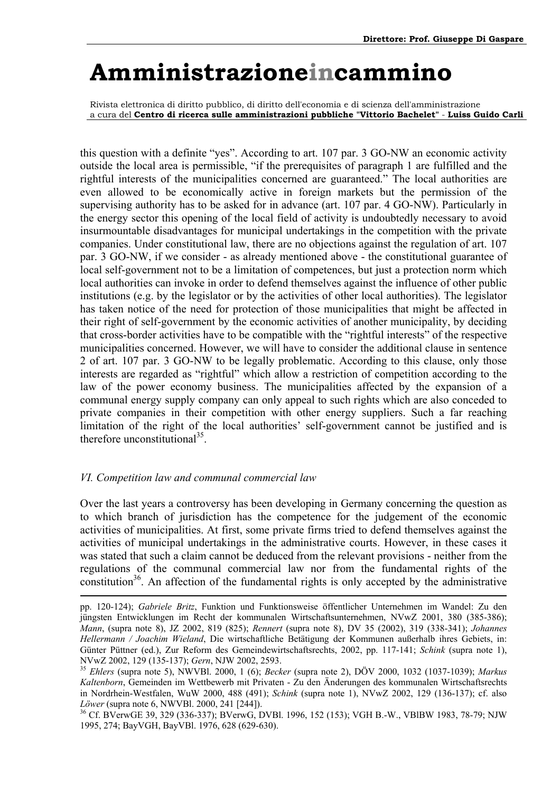Rivista elettronica di diritto pubblico, di diritto dell'economia e di scienza dell'amministrazione a cura del **Centro di ricerca sulle amministrazioni pubbliche "Vittorio Bachelet"** - **Luiss Guido Carli**

this question with a definite "yes". According to art. 107 par. 3 GO-NW an economic activity outside the local area is permissible, "if the prerequisites of paragraph 1 are fulfilled and the rightful interests of the municipalities concerned are guaranteed." The local authorities are even allowed to be economically active in foreign markets but the permission of the supervising authority has to be asked for in advance (art. 107 par. 4 GO-NW). Particularly in the energy sector this opening of the local field of activity is undoubtedly necessary to avoid insurmountable disadvantages for municipal undertakings in the competition with the private companies. Under constitutional law, there are no objections against the regulation of art. 107 par. 3 GO-NW, if we consider - as already mentioned above - the constitutional guarantee of local self-government not to be a limitation of competences, but just a protection norm which local authorities can invoke in order to defend themselves against the influence of other public institutions (e.g. by the legislator or by the activities of other local authorities). The legislator has taken notice of the need for protection of those municipalities that might be affected in their right of self-government by the economic activities of another municipality, by deciding that cross-border activities have to be compatible with the "rightful interests" of the respective municipalities concerned. However, we will have to consider the additional clause in sentence 2 of art. 107 par. 3 GO-NW to be legally problematic. According to this clause, only those interests are regarded as "rightful" which allow a restriction of competition according to the law of the power economy business. The municipalities affected by the expansion of a communal energy supply company can only appeal to such rights which are also conceded to private companies in their competition with other energy suppliers. Such a far reaching limitation of the right of the local authorities' self-government cannot be justified and is therefore unconstitutional $35$ .

#### *VI. Competition law and communal commercial law*

Over the last years a controversy has been developing in Germany concerning the question as to which branch of jurisdiction has the competence for the judgement of the economic activities of municipalities. At first, some private firms tried to defend themselves against the activities of municipal undertakings in the administrative courts. However, in these cases it was stated that such a claim cannot be deduced from the relevant provisions - neither from the regulations of the communal commercial law nor from the fundamental rights of the constitution<sup>36</sup>. An affection of the fundamental rights is only accepted by the administrative

pp. 120-124); *Gabriele Britz*, Funktion und Funktionsweise öffentlicher Unternehmen im Wandel: Zu den jüngsten Entwicklungen im Recht der kommunalen Wirtschaftsunternehmen, NVwZ 2001, 380 (385-386); *Mann*, (supra note 8), JZ 2002, 819 (825); *Rennert* (supra note 8), DV 35 (2002), 319 (338-341); *Johannes Hellermann / Joachim Wieland*, Die wirtschaftliche Betätigung der Kommunen außerhalb ihres Gebiets, in: Günter Püttner (ed.), Zur Reform des Gemeindewirtschaftsrechts, 2002, pp. 117-141; *Schink* (supra note 1),

<span id="page-38-0"></span>NVwZ 2002, 129 (135-137); *Gern*, NJW 2002, 2593. 35 *Ehlers* (supra note 5), NWVBl. 2000, 1 (6); *Becker* (supra note 2), DÖV 2000, 1032 (1037-1039); *Markus Kaltenborn*, Gemeinden im Wettbewerb mit Privaten - Zu den Änderungen des kommunalen Wirtschaftsrechts in Nordrhein-Westfalen, WuW 2000, 488 (491); *Schink* (supra note 1), NVwZ 2002, 129 (136-137); cf. also *Löwer* (supra note 6, NWVBl. 2000, 241 [244]).<br><sup>36</sup> Cf. BVerwGE 39, 329 (336-337); BVerwG, DVBl. 1996, 152 (153); VGH B.-W., VBlBW 1983, 78-79; NJW

<span id="page-38-1"></span><sup>1995, 274;</sup> BayVGH, BayVBl. 1976, 628 (629-630).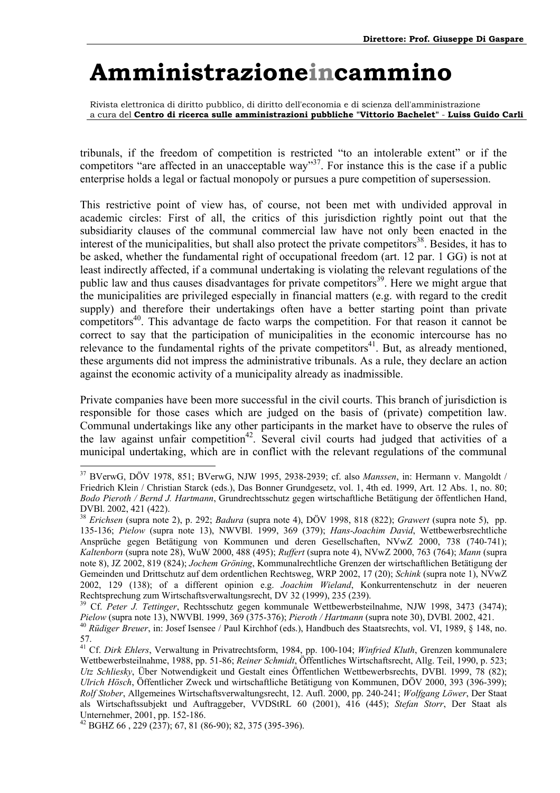Rivista elettronica di diritto pubblico, di diritto dell'economia e di scienza dell'amministrazione a cura del **Centro di ricerca sulle amministrazioni pubbliche "Vittorio Bachelet"** - **Luiss Guido Carli**

tribunals, if the freedom of competition is restricted "to an intolerable extent" or if the competitors "are affected in an unacceptable way"<sup>37</sup>. For instance this is the case if a public enterprise holds a legal or factual monopoly or pursues a pure competition of supersession.

This restrictive point of view has, of course, not been met with undivided approval in academic circles: First of all, the critics of this jurisdiction rightly point out that the subsidiarity clauses of the communal commercial law have not only been enacted in the interest of the municipalities, but shall also protect the private competitors<sup>38</sup>. Besides, it has to be asked, whether the fundamental right of occupational freedom (art. 12 par. 1 GG) is not at least indirectly affected, if a communal undertaking is violating the relevant regulations of the public law and thus causes disadvantages for private competitors<sup>39</sup>. Here we might argue that the municipalities are privileged especially in financial matters (e.g. with regard to the credit supply) and therefore their undertakings often have a better starting point than private competitors<sup>40</sup>. This advantage de facto warps the competition. For that reason it cannot be correct to say that the participation of municipalities in the economic intercourse has no relevance to the fundamental rights of the private competitors<sup>41</sup>. But, as already mentioned, these arguments did not impress the administrative tribunals. As a rule, they declare an action against the economic activity of a municipality already as inadmissible.

Private companies have been more successful in the civil courts. This branch of jurisdiction is responsible for those cases which are judged on the basis of (private) competition law. Communal undertakings like any other participants in the market have to observe the rules of the law against unfair competition<sup>42</sup>. Several civil courts had judged that activities of a municipal undertaking, which are in conflict with the relevant regulations of the communal

<span id="page-39-0"></span><sup>37</sup> BVerwG, DÖV 1978, 851; BVerwG, NJW 1995, 2938-2939; cf. also *Manssen*, in: Hermann v. Mangoldt / Friedrich Klein / Christian Starck (eds.), Das Bonner Grundgesetz, vol. 1, 4th ed. 1999, Art. 12 Abs. 1, no. 80; *Bodo Pieroth / Bernd J. Hartmann*, Grundrechtsschutz gegen wirtschaftliche Betätigung der öffentlichen Hand, DVBl. 2002, 421 (422).

<span id="page-39-1"></span><sup>38</sup> *Erichsen* (supra note 2), p. 292; *Badura* (supra note 4), DÖV 1998, 818 (822); *Grawert* (supra note 5), pp. 135-136; *Pielow* (supra note 13), NWVBl. 1999, 369 (379); *Hans-Joachim David*, Wettbewerbsrechtliche Ansprüche gegen Betätigung von Kommunen und deren Gesellschaften, NVwZ 2000, 738 (740-741); *Kaltenborn* (supra note 28), WuW 2000, 488 (495); *Ruffert* (supra note 4), NVwZ 2000, 763 (764); *Mann* (supra note 8), JZ 2002, 819 (824); *Jochem Gröning*, Kommunalrechtliche Grenzen der wirtschaftlichen Betätigung der Gemeinden und Drittschutz auf dem ordentlichen Rechtsweg, WRP 2002, 17 (20); *Schink* (supra note 1), NVwZ 2002, 129 (138); of a different opinion e.g. *Joachim Wieland*, Konkurrentenschutz in der neueren Rechtsprechung zum Wirtschaftsverwaltungsrecht, DV 32 (1999), 235 (239).

<span id="page-39-2"></span><sup>39</sup> Cf. *Peter J. Tettinger*, Rechtsschutz gegen kommunale Wettbewerbsteilnahme, NJW 1998, 3473 (3474); Pielow (supra note 13), NWVBl. 1999, 369 (375-376); Pieroth / Hartmann (supra note 30), DVBl. 2002, 421.<br><sup>40</sup> Rüdiger Breuer, in: Josef Isensee / Paul Kirchhof (eds.), Handbuch des Staatsrechts, vol. VI, 1989, § 148, no.

<span id="page-39-3"></span><sup>57.</sup> 

<span id="page-39-4"></span><sup>41</sup> Cf. *Dirk Ehlers*, Verwaltung in Privatrechtsform, 1984, pp. 100-104; *Winfried Kluth*, Grenzen kommunalere Wettbewerbsteilnahme, 1988, pp. 51-86; *Reiner Schmidt*, Öffentliches Wirtschaftsrecht, Allg. Teil, 1990, p. 523; *Utz Schliesky*, Über Notwendigkeit und Gestalt eines Öffentlichen Wettbewerbsrechts, DVBl. 1999, 78 (82); *Ulrich Hösch*, Öffentlicher Zweck und wirtschaftliche Betätigung von Kommunen, DÖV 2000, 393 (396-399); *Rolf Stober*, Allgemeines Wirtschaftsverwaltungsrecht, 12. Aufl. 2000, pp. 240-241; *Wolfgang Löwer*, Der Staat als Wirtschaftssubjekt und Auftraggeber, VVDStRL 60 (2001), 416 (445); *Stefan Storr*, Der Staat als Unternehmer, 2001, pp. 152-186.

<span id="page-39-5"></span> $42$  BGHZ 66, 229 (237); 67, 81 (86-90); 82, 375 (395-396).